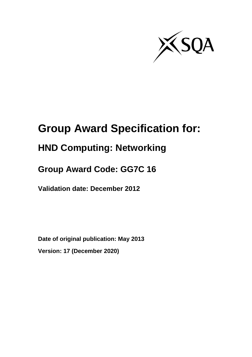

# **Group Award Specification for:**

# **HND Computing: Networking**

# **Group Award Code: GG7C 16**

**Validation date: December 2012**

**Date of original publication: May 2013 Version: 17 (December 2020)**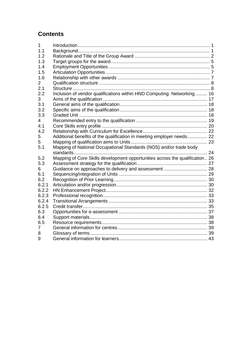# **Contents**

| 1     |                                                                              |  |
|-------|------------------------------------------------------------------------------|--|
| 1.1   |                                                                              |  |
| 1.2   |                                                                              |  |
| 1.3   |                                                                              |  |
| 1.4   |                                                                              |  |
| 1.5   |                                                                              |  |
| 1.6   |                                                                              |  |
| 2     |                                                                              |  |
| 2.1   |                                                                              |  |
| 2.2   | Inclusion of vendor qualifications within HND Computing: Networking 16       |  |
| 3     |                                                                              |  |
| 3.1   |                                                                              |  |
| 3.2   |                                                                              |  |
| 3.3   |                                                                              |  |
| 4     |                                                                              |  |
| 4.1   |                                                                              |  |
| 4.2   |                                                                              |  |
| 5     | Additional benefits of the qualification in meeting employer needs 22        |  |
| 5     |                                                                              |  |
| 5.1   | Mapping of National Occupational Standards (NOS) and/or trade body           |  |
|       |                                                                              |  |
| 5.2   | Mapping of Core Skills development opportunities across the qualification 26 |  |
| 5.3   |                                                                              |  |
| 6     |                                                                              |  |
| 6.1   |                                                                              |  |
| 6.2   |                                                                              |  |
| 6.2.1 |                                                                              |  |
| 6.2.2 |                                                                              |  |
| 6.2.3 |                                                                              |  |
| 6.2.4 |                                                                              |  |
| 6.2.5 |                                                                              |  |
| 6.3   |                                                                              |  |
| 6.4   |                                                                              |  |
| 6.5   |                                                                              |  |
| 7     |                                                                              |  |
| 8     |                                                                              |  |
| 9     |                                                                              |  |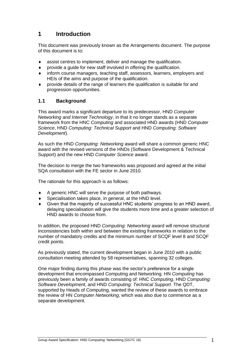# <span id="page-2-0"></span>**1 Introduction**

This document was previously known as the Arrangements document. The purpose of this document is to:

- assist centres to implement, deliver and manage the qualification.
- provide a guide for new staff involved in offering the qualification.
- inform course managers, teaching staff, assessors, learners, employers and HEIs of the aims and purpose of the qualification.
- provide details of the range of learners the qualification is suitable for and progression opportunities.

## <span id="page-2-1"></span>**1.1 Background**

This award marks a significant departure to its predecessor, HND *Computer Networking and Internet Technology*, in that it no longer stands as a separate framework from the HNC *Computing* and associated HND awards (HND *Computer Science*, HND *Computing: Technical Support* and HND *Computing: Software Development*).

As such the HND *Computing: Networking* award will share a common generic HNC award with the revised versions of the HNDs (Software Development & Technical Support) and the new HND *Computer Science* award.

The decision to merge the two frameworks was proposed and agreed at the initial SQA consultation with the FE sector in June 2010.

The rationale for this approach is as follows:

- $\triangle$  A generic HNC will serve the purpose of both pathways.
- Specialisation takes place, in general, at the HND level.
- Given that the majority of successful HNC students' progress to an HND award, delaying specialisation will give the students more time and a greater selection of HND awards to choose from.

In addition, the proposed HND *Computing: Networking* award will remove structural inconsistencies both within and between the existing frameworks in relation to the number of mandatory credits and the minimum number of SCQF level 8 and SCQF credit points.

As previously stated, the current development began in June 2010 with a public consultation meeting attended by 58 representatives, spanning 32 colleges.

One major finding during this phase was the sector's preference for a single development that encompassed Computing and Networking. HN *Computing* has previously been a family of awards consisting of: HNC *Computing*, HND *Computing: Software Development*, and HND *Computing: Technical Support*. The QDT, supported by Heads of Computing, wanted the review of these awards to embrace the review of HN *Computer Networking*, which was also due to commence as a separate development.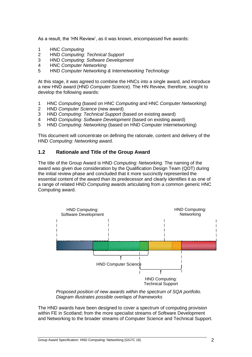As a result, the 'HN Review', as it was known, encompassed five awards:

- 1 HNC *Computing*
- 2 HND *Computing: Technical Support*
- 3 HND *Computing: Software Development*
- 4 HNC *Computer Networking*
- 5 HND *Computer Networking & Internetworking Technology*

At this stage, it was agreed to combine the HNCs into a single award, and introduce a new HND award (HND *Computer Science*). The HN Review, therefore, sought to develop the following awards:

- 1 HNC *Computing* (based on HNC *Computing* and HNC *Computer Networking*)
- 2 HND *Computer Science* (new award)
- 3 HND *Computing: Technical Support* (based on existing award)<br>4 HND *Computing: Software Development* (based on existing aw
- 4 HND *Computing: Software Development* (based on existing award)
- 5 HND *Computing: Networking* (based on HND Computer Internetworking)

This document will concentrate on defining the rationale, content and delivery of the HND *Computing: Networking* award.

#### <span id="page-3-0"></span>**1.2 Rationale and Title of the Group Award**

The title of the Group Award is HND *Computing: Networking*. The naming of the award was given due consideration by the Qualification Design Team (QDT) during the initial review phase and concluded that it more succinctly represented the essential content of the award than its predecessor and clearly identifies it as one of a range of related HND *Computing* awards articulating from a common generic HNC Computing award.



*Proposed position of new awards within the spectrum of SQA portfolio. Diagram illustrates possible overlaps of frameworks*

The HND awards have been designed to cover a spectrum of computing provision within FE in Scotland; from the more specialist streams of Software Development and Networking to the broader streams of Computer Science and Technical Support.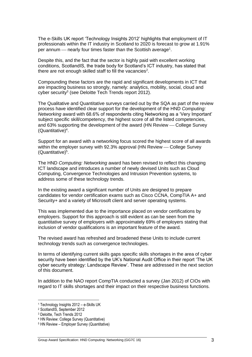The e-Skills UK report 'Technology Insights 2012' highlights that employment of IT professionals within the IT industry in Scotland to 2020 is forecast to grow at 1.91% per annum — nearly four times faster than the Scottish average<sup>1</sup>.

Despite this, and the fact that the sector is highly paid with excellent working conditions, ScotlandIS, the trade body for Scotland's ICT industry, has stated that there are not enough skilled staff to fill the vacancies<sup>2</sup>.

Compounding these factors are the rapid and significant developments in ICT that are impacting business so strongly, namely: analytics, mobility, social, cloud and cyber security<sup>3</sup> (see Deloitte Tech Trends report 2012).

The Qualitative and Quantitative surveys carried out by the SQA as part of the review process have identified clear support for the development of the HND *Computing: Networking* award with 68.6% of respondents citing Networking as a 'Very Important' subject specific skill/competency, the highest score of all the listed competencies, and 63% supporting the development of the award (HN Review — College Survey (Quantitative)<sup>4</sup> .

Support for an award with a networking focus scored the highest score of all awards within the employer survey with 92.3% approval (HN Review – College Survey (Quantitative)<sup>5</sup>.

The HND *Computing: Networking* award has been revised to reflect this changing ICT landscape and introduces a number of newly devised Units such as Cloud Computing, Convergence Technologies and Intrusion Prevention systems, to address some of these technology trends.

In the existing award a significant number of Units are designed to prepare candidates for vendor certification exams such as Cisco CCNA, CompTIA A+ and Security+ and a variety of Microsoft client and server operating systems.

This was implemented due to the importance placed on vendor certifications by employers. Support for this approach is still evident as can be seen from the quantitative survey of employers with approximately 69% of employers stating that inclusion of vendor qualifications is an important feature of the award.

The revised award has refreshed and broadened these Units to include current technology trends such as convergence technologies.

In terms of identifying current skills gaps specific skills shortages in the area of cyber security have been identified by the UK's National Audit Office in their report 'The UK cyber security strategy: Landscape Review'. These are addressed in the next section of this document.

In addition to the NAO report CompTIA conducted a survey (Jan 2012) of CIOs with regard to IT skills shortages and their impact on their respective business functions.

<sup>1</sup> Technology Insights 2012 – e-Skills UK

<sup>2</sup> ScotlandIS, September 2012

<sup>3</sup> Deloitte, Tech Trends 2012

<sup>4</sup> HN Review: College Survey (Quantitative)

<sup>5</sup> HN Review – Employer Survey (Quantitative)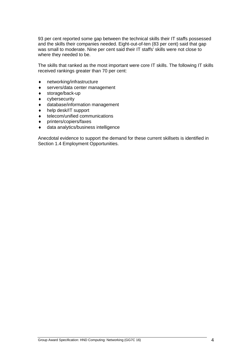93 per cent reported some gap between the technical skills their IT staffs possessed and the skills their companies needed. Eight-out-of-ten (83 per cent) said that gap was small to moderate. Nine per cent said their IT staffs' skills were not close to where they needed to be.

The skills that ranked as the most important were core IT skills. The following IT skills received rankings greater than 70 per cent:

- networking/infrastructure
- ◆ servers/data center management
- storage/back-up
- cybersecurity
- database/information management
- ◆ help desk/IT support
- telecom/unified communications
- printers/copiers/faxes
- data analytics/business intelligence

Anecdotal evidence to support the demand for these current skillsets is identified in Section 1.4 Employment Opportunities.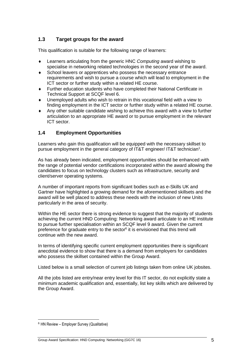## <span id="page-6-0"></span>**1.3 Target groups for the award**

This qualification is suitable for the following range of learners:

- Learners articulating from the generic HNC *Computing* award wishing to specialise in networking related technologies in the second year of the award.
- School leavers or apprentices who possess the necessary entrance requirements and wish to pursue a course which will lead to employment in the ICT sector or further study within a related HE course.
- Further education students who have completed their National Certificate in Technical Support at SCQF level 6.
- Unemployed adults who wish to retrain in this vocational field with a view to finding employment in the ICT sector or further study within a related HE course.
- Any other suitable candidate wishing to achieve this award with a view to further articulation to an appropriate HE award or to pursue employment in the relevant ICT sector.

## <span id="page-6-1"></span>**1.4 Employment Opportunities**

Learners who gain this qualification will be equipped with the necessary skillset to pursue employment in the general category of IT&T engineer/ IT&T technician<sup>1</sup>.

As has already been indicated, employment opportunities should be enhanced with the range of potential vendor certifications incorporated within the award allowing the candidates to focus on technology clusters such as infrastructure, security and client/server operating systems.

A number of important reports from significant bodies such as e-Skills UK and Gartner have highlighted a growing demand for the aforementioned skillsets and the award will be well placed to address these needs with the inclusion of new Units particularly in the area of security.

Within the HE sector there is strong evidence to suggest that the majority of students achieving the current HND Computing: Networking award articulate to an HE institute to pursue further specialisation within an SCQF level 9 award. Given the current preference for graduate entry to the sector<sup>6</sup> it is envisioned that this trend will continue with the new award.

In terms of identifying specific current employment opportunities there is significant anecdotal evidence to show that there is a demand from employers for candidates who possess the skillset contained within the Group Award.

Listed below is a small selection of current job listings taken from online UK jobsites.

All the jobs listed are entry/near entry level for this IT sector, do not explicitly state a minimum academic qualification and, essentially, list key skills which are delivered by the Group Award.

<sup>6</sup> HN Review – Employer Survey (Qualitative)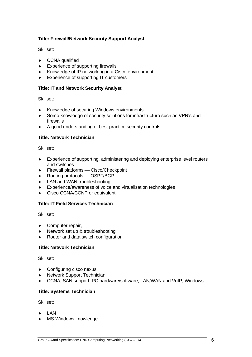#### **Title: Firewall/Network Security Support Analyst**

Skillset:

- ◆ CCNA qualified
- ◆ Experience of supporting firewalls
- Knowledge of IP networking in a Cisco environment
- ◆ Experience of supporting IT customers

#### **Title: IT and Network Security Analyst**

Skillset:

- ◆ Knowledge of securing Windows environments
- Some knowledge of security solutions for infrastructure such as VPN's and firewalls
- A good understanding of best practice security controls

#### **Title: Network Technician**

Skillset:

- Experience of supporting, administering and deploying enterprise level routers and switches
- ◆ Firewall platforms Cisco/Checkpoint
- ◆ Routing protocols OSPF/BGP
- LAN and WAN troubleshooting
- Experience/awareness of voice and virtualisation technologies
- ◆ Cisco CCNA/CCNP or equivalent.

#### **Title: IT Field Services Technician**

Skillset:

- ◆ Computer repair,
- Network set up & troubleshooting
- Router and data switch configuration

#### **Title: Network Technician**

Skillset:

- Configuring cisco nexus
- ◆ Network Support Technician
- CCNA, SAN support, PC hardware/software, LAN/WAN and VoIP, Windows

#### **Title: Systems Technician**

Skillset:

- **+** LAN
- MS Windows knowledge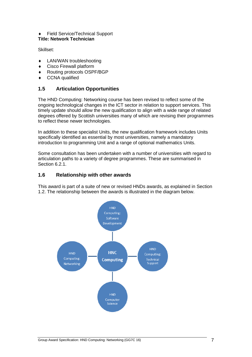#### Field Service/Technical Support **Title: Network Technician**

Skillset:

- **+** LAN/WAN troubleshooting
- Cisco Firewall platform
- Routing protocols OSPF/BGP
- ◆ CCNA qualified

## <span id="page-8-0"></span>**1.5 Articulation Opportunities**

The HND Computing: Networking course has been revised to reflect some of the ongoing technological changes in the ICT sector in relation to support services. This timely update should allow the new qualification to align with a wide range of related degrees offered by Scottish universities many of which are revising their programmes to reflect these newer technologies.

In addition to these specialist Units, the new qualification framework includes Units specifically identified as essential by most universities, namely a mandatory introduction to programming Unit and a range of optional mathematics Units.

Some consultation has been undertaken with a number of universities with regard to articulation paths to a variety of degree programmes. These are summarised in Section 6.2.1.

## <span id="page-8-1"></span>**1.6 Relationship with other awards**

This award is part of a suite of new or revised HNDs awards, as explained in Section 1.2. The relationship between the awards is illustrated in the diagram below.

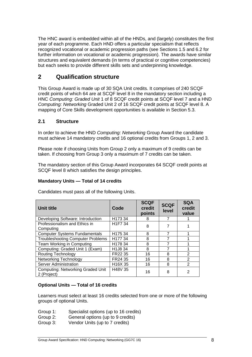The HNC award is embedded within all of the HNDs, and (largely) constitutes the first year of each programme. Each HND offers a particular specialism that reflects recognized vocational or academic progression paths (see Sections 1.5 and 6.2 for further information on vocational or academic progression). The awards have similar structures and equivalent demands (in terms of practical or cognitive competencies) but each seeks to provide different skills sets and underpinning knowledge.

## <span id="page-9-0"></span>**2 Qualification structure**

This Group Award is made up of 30 SQA Unit credits. It comprises of 240 SCQF credit points of which 64 are at SCQF level 8 in the mandatory section including a HNC *Computing: Graded Unit* 1 of 8 SCQF credit points at SCQF level 7 and a HND *Computing: Networking* Graded Unit 2 of 16 SCQF credit points at SCQF level 8. A mapping of Core Skills development opportunities is available in Section 5.3.

#### <span id="page-9-1"></span>**2.1 Structure**

In order to achieve the HND *Computing: Networking* Group Award the candidate must achieve 14 mandatory credits and 16 optional credits from Groups 1, 2 and 3.

Please note if choosing Units from Group 2 only a maximum of 9 credits can be taken. If choosing from Group 3 only a maximum of 7 credits can be taken.

The mandatory section of this Group Award incorporates 64 SCQF credit points at SCQF level 8 which satisfies the design principles.

#### **Mandatory Units — Total of 14 credits**

| <b>Unit title</b>                                       | Code                             | <b>SCQF</b><br>credit<br>points | <b>SCQF</b><br>level | <b>SQA</b><br>credit<br>value |
|---------------------------------------------------------|----------------------------------|---------------------------------|----------------------|-------------------------------|
| Developing Software: Introduction                       | H173 34                          | 8                               | 7                    |                               |
| Professionalism and Ethics in<br>Computing              | H <sub>1</sub> F <sub>7</sub> 34 | 8                               | 7                    |                               |
| <b>Computer Systems Fundamentals</b>                    | H <sub>175</sub> 34              | 8                               | $\overline{7}$       |                               |
| <b>Troubleshooting Computer Problems</b>                | H177 34                          | 8                               | 7                    |                               |
| Team Working in Computing                               | H178 34                          | 8                               | 7                    |                               |
| Computing: Graded Unit 1 (Exam)                         | H1J8 34                          | 8                               | 7                    |                               |
| <b>Routing Technology</b>                               | FR22 35                          | 16                              | 8                    | 2                             |
| <b>Networking Technology</b>                            | FR24 35                          | 16                              | 8                    | $\overline{2}$                |
| Server Administration                                   | H <sub>16</sub> X 35             | 16                              | 8                    | 2                             |
| <b>Computing: Networking Graded Unit</b><br>2 (Project) | H48V 35                          | 16                              | 8                    | $\mathfrak{p}$                |

Candidates must pass all of the following Units.

#### **Optional Units — Total of 16 credits**

Learners must select at least 16 credits selected from one or more of the following groups of optional Units.

- Group 1: Specialist options (up to 16 credits)
- Group 2: General options (up to 9 credits)
- Group 3: Vendor Units (up to 7 credits)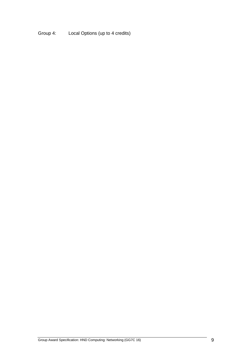Group 4: Local Options (up to 4 credits)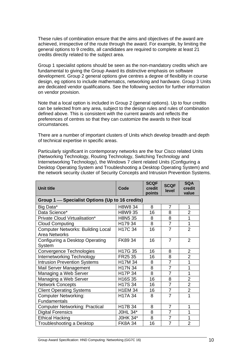These rules of combination ensure that the aims and objectives of the award are achieved, irrespective of the route through the award. For example, by limiting the general options to 9 credits, all candidates are required to complete at least 21 credits directly related to the subject area.

Group 1 specialist options should be seen as the non-mandatory credits which are fundamental to giving the Group Award its distinctive emphasis on software development. Group 2 general options give centres a degree of flexibility in course design, eg options to include mathematics, networking and hardware. Group 3 Units are dedicated vendor qualifications. See the following section for further information on vendor provision.

Note that a local option is included in Group 2 (general options). Up to four credits can be selected from any area, subject to the design rules and rules of combination defined above. This is consistent with the current awards and reflects the preferences of centres so that they can customize the awards to their local circumstances.

There are a number of important clusters of Units which develop breadth and depth of technical expertise in specific areas.

Particularly significant in contemporary networks are the four Cisco related Units (Networking Technology, Routing Technology, Switching Technology and Internetworking Technology), the Windows 7 client related Units (Configuring a Desktop Operating System and Troubleshooting a Desktop Operating System) and the network security cluster of Security Concepts and Intrusion Prevention Systems.

| <b>Unit title</b>                                                | Code                 | <b>SCQF</b><br>credit<br>points | <b>SCQF</b><br>level | <b>SQA</b><br>credit<br>value |
|------------------------------------------------------------------|----------------------|---------------------------------|----------------------|-------------------------------|
| Group 1 - Specialist Options (Up to 16 credits)                  |                      |                                 |                      |                               |
| Big Data*                                                        | H8W8 34              | 8                               | $\overline{7}$       | 1                             |
| Data Science*                                                    | H8W9 35              | 16                              | 8                    | $\overline{2}$                |
| Private Cloud Virtualisation*                                    | H8N5 35              | 8                               | 8                    | $\overline{1}$                |
| <b>Cloud Computing</b>                                           | H17934               | 8                               | $\overline{7}$       | $\overline{1}$                |
| <b>Computer Networks: Building Local</b><br><b>Area Networks</b> | H17C 34              | 16                              | $\overline{7}$       | $\overline{2}$                |
| Configuring a Desktop Operating<br>System                        | FK89 34              | 16                              | $\overline{7}$       | $\overline{2}$                |
| Convergence Technologies                                         | H17G 35              | 16                              | 8                    | $\overline{2}$                |
| Internetworking Technology                                       | FR25 35              | 16                              | 8                    | $\overline{2}$                |
| <b>Intrusion Prevention Systems</b>                              | H17M 34              | 8                               | $\overline{7}$       | 1                             |
| Mail Server Management                                           | H17N 34              | 8                               | $\overline{7}$       | 1                             |
| Managing a Web Server                                            | H17P 34              | 8                               | $\overline{7}$       | 1                             |
| Managing a Web Server                                            | H <sub>16</sub> S 35 | 16                              | 8                    | $\overline{2}$                |
| <b>Network Concepts</b>                                          | H17S 34              | 16                              | $\overline{7}$       | $\overline{2}$                |
| <b>Client Operating Systems</b>                                  | <b>H1EM 34</b>       | 16                              | $\overline{7}$       | $\overline{2}$                |
| <b>Computer Networking:</b><br>Fundamentals                      | H17A 34              | 8                               | $\overline{7}$       | 1                             |
| <b>Computer Networking: Practical</b>                            | H17B 34              | 8                               | $\overline{7}$       | 1                             |
| <b>Digital Forensics</b>                                         | J0HL 34*             | 8                               | $\overline{7}$       | 1                             |
| <b>Ethical Hacking</b>                                           | J0HK 34*             | $\overline{8}$                  | $\overline{7}$       | $\overline{1}$                |
| Troubleshooting a Desktop                                        | <b>FK8A 34</b>       | 16                              | $\overline{7}$       | $\overline{2}$                |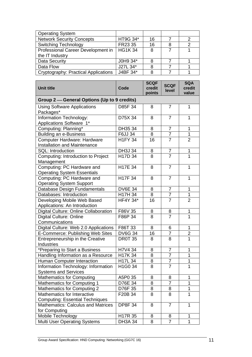| <b>Operating System</b>              |               |    |   |
|--------------------------------------|---------------|----|---|
| <b>Network Security Concepts</b>     | HT9G 34*      | 16 | 2 |
| <b>Switching Technology</b>          | FR23 35       | 16 |   |
| Professional Career Development in   | <b>HG1K34</b> | 8  |   |
| the IT Industry                      |               |    |   |
| Data Security                        | J0H9 34*      |    |   |
| Data Flow                            | J27L 34*      |    |   |
| Cryptography: Practical Applications | J4BF 34*      |    |   |

| <b>Unit title</b>                                                     | Code                             | <b>SCQF</b><br>credit | <b>SCQF</b><br>level | <b>SQA</b><br>credit |
|-----------------------------------------------------------------------|----------------------------------|-----------------------|----------------------|----------------------|
|                                                                       |                                  | points                |                      | value                |
| Group 2-General Options (Up to 9 credits)                             |                                  |                       |                      |                      |
| <b>Using Software Applications</b><br>Packages*                       | D85F 34                          | 8                     | $\overline{7}$       | 1                    |
| Information Technology:<br>Applications Software 1*                   | D75X 34                          | 8                     | $\overline{7}$       | 1                    |
| Computing: Planning*                                                  | DH35 34                          | 8                     | $\overline{7}$       | 1                    |
| <b>Building an e-Business</b>                                         | F6JJ 34                          | 8                     | $\overline{7}$       | 1                    |
| Computer Hardware: Hardware<br><b>Installation and Maintenance</b>    | <b>H1FY 34</b>                   | 16                    | $\overline{7}$       | $\overline{2}$       |
| SQL: Introduction                                                     | DH3J 34                          | 8                     | $\overline{7}$       | 1                    |
| Computing: Introduction to Project<br>Management                      | H17D 34                          | 8                     | $\overline{7}$       | 1                    |
| Computing: PC Hardware and<br><b>Operating System Essentials</b>      | H17E 34                          | 8                     | $\overline{7}$       | $\overline{1}$       |
| Computing: PC Hardware and<br><b>Operating System Support</b>         | H17F 34                          | 8                     | $\overline{7}$       | 1                    |
| Database Design Fundamentals                                          | <b>DV6E 34</b>                   | 8                     | $\overline{7}$       | 1                    |
| Databases: Introduction                                               | H17H 34                          | 8                     | $\overline{7}$       | 1                    |
| Developing Mobile Web Based<br>Applications: An Introduction          | <b>HF4Y 34*</b>                  | 16                    | $\overline{7}$       | $\overline{2}$       |
| Digital Culture: Online Collaboration                                 | F86V 35                          | 8                     | 8                    | 1                    |
| <b>Digital Culture: Online</b>                                        | F86P 34                          | 8                     | $\overline{7}$       | $\overline{1}$       |
| Communications                                                        |                                  |                       |                      |                      |
| Digital Culture: Web 2.0 Applications                                 | F86T 33                          | 8                     | 6                    | 1                    |
| E-Commerce: Publishing Web Sites                                      | <b>DV6G 34</b>                   | 16                    | $\overline{7}$       | $\overline{2}$       |
| Entrepreneurship in the Creative<br>Industries                        | <b>DR0T 35</b>                   | 8                     | 8                    | $\overline{1}$       |
| *Preparing to Start a Business                                        | H7V4 34                          | 8                     | $\overline{7}$       | 1                    |
| Handling Information as a Resource                                    | H17K 34                          | 8                     | $\overline{7}$       | 1                    |
| Human Computer Interaction                                            | H17L 34                          | 8                     | $\overline{7}$       | 1                    |
| Information Technology: Information<br><b>Systems and Services</b>    | H <sub>1</sub> G <sub>0</sub> 34 | 8                     | $\overline{7}$       | 1                    |
| <b>Mathematics for Computing</b>                                      | A5P0 35                          | 8                     | 8                    | 1                    |
| <b>Mathematics for Computing 1</b>                                    | D76E 34                          | 8                     | $\overline{7}$       | 1                    |
| Mathematics for Computing 2                                           | D76F 35                          | 8                     | 8                    | 1                    |
| Mathematics for Interactive<br><b>Computing: Essential Techniques</b> | F20B 34                          | 8                     | 8                    | 1                    |
| <b>Mathematics: Calculus and Matrices</b><br>for Computing            | <b>DP8F34</b>                    | 8                     | $\overline{7}$       | 1                    |
| Mobile Technology                                                     | H <sub>17</sub> R 35             | 8                     | 8                    | 1                    |
| <b>Multi User Operating Systems</b>                                   | <b>DH3A 34</b>                   | 8                     | $\overline{7}$       | 1                    |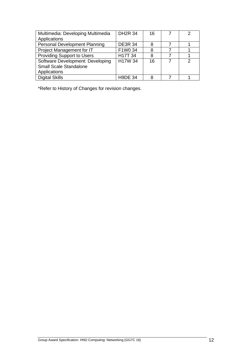| Multimedia: Developing Multimedia    | <b>DH2R 34</b> | 16 | っ |
|--------------------------------------|----------------|----|---|
| Applications                         |                |    |   |
| <b>Personal Development Planning</b> | <b>DE3R 34</b> | 8  |   |
| Project Management for IT            | F1W0 34        | 8  |   |
| Providing Support to Users           | H17T 34        | 8  |   |
| Software Development: Developing     | H17W 34        | 16 | 2 |
| <b>Small Scale Standalone</b>        |                |    |   |
| Applications                         |                |    |   |
| <b>Digital Skills</b>                | <b>H9DE 34</b> |    |   |

\*Refer to History of Changes for revision changes.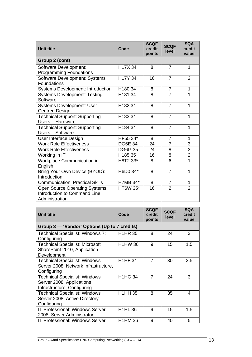| <b>Unit title</b>                                                                       | Code            | <b>SCQF</b><br>credit<br>points | <b>SCQF</b><br>level | <b>SQA</b><br>credit<br>value |
|-----------------------------------------------------------------------------------------|-----------------|---------------------------------|----------------------|-------------------------------|
| Group 2 (cont)                                                                          |                 |                                 |                      |                               |
| Software Development:<br><b>Programming Foundations</b>                                 | H17X 34         | 8                               | 7                    | 1                             |
| Software Development: Systems<br><b>Foundations</b>                                     | H17Y 34         | 16                              | $\overline{7}$       | $\overline{2}$                |
| <b>Systems Development: Introduction</b>                                                | H180 34         | 8                               | $\overline{7}$       | 1                             |
| <b>Systems Development: Testing</b><br>Software                                         | H181 34         | 8                               | $\overline{7}$       | 1                             |
| <b>Systems Development: User</b><br><b>Centred Design</b>                               | H182 34         | 8                               | $\overline{7}$       | 1                             |
| <b>Technical Support: Supporting</b><br>Users - Hardware                                | H183 34         | 8                               | $\overline{7}$       | 1                             |
| <b>Technical Support: Supporting</b><br>Users - Software                                | H184 34         | 8                               | $\overline{7}$       | 1                             |
| User Interface Design                                                                   | HF55 34*        | 8                               | $\overline{7}$       | 1                             |
| <b>Work Role Effectiveness</b>                                                          | <b>DG6E 34</b>  | 24                              | $\overline{7}$       | 3                             |
| <b>Work Role Effectiveness</b>                                                          | <b>DG6G 35</b>  | 24                              | 8                    | $\overline{3}$                |
| Working in IT                                                                           | H185 35         | 16                              | 8                    | $\overline{2}$                |
| Workplace Communication in<br>English                                                   | H8T2 33*        | 8                               | 6                    | $\overline{1}$                |
| Bring Your Own Device (BYOD):<br>Introduction                                           | H6D0 34*        | 8                               | $\overline{7}$       | 1                             |
| <b>Communication: Practical Skills</b>                                                  | H7MB 34*        | 8                               | $\overline{7}$       | 1                             |
| <b>Open Source Operating Systems:</b><br>Introduction to Command Line<br>Administration | <b>HT6W 35*</b> | 16                              | $\overline{2}$       | $\overline{2}$                |

| <b>Unit title</b>                                                                                | Code           | <b>SCQF</b><br>credit<br>points | <b>SCQF</b><br>level | <b>SQA</b><br>credit<br>value |
|--------------------------------------------------------------------------------------------------|----------------|---------------------------------|----------------------|-------------------------------|
| Group 3 — 'Vendor' Options (Up to 7 credits)                                                     |                |                                 |                      |                               |
| <b>Technical Specialist: Windows 7:</b><br>Configuring                                           | <b>H1HR 35</b> | 8                               | 24                   | 3                             |
| <b>Technical Specialist: Microsoft</b><br>SharePoint 2010, Application<br>Development            | <b>H1HW36</b>  | 9                               | 15                   | 1.5                           |
| <b>Technical Specialist: Windows</b><br>Server 2008: Network Infrastructure,<br>Configuring      | <b>H1HF 34</b> | $\overline{7}$                  | 30                   | 3.5                           |
| <b>Technical Specialist: Windows</b><br>Server 2008: Applications<br>Infrastructure, Configuring | <b>H1HG 34</b> | $\overline{7}$                  | 24                   | 3                             |
| <b>Technical Specialist: Windows</b><br>Server 2008: Active Directory<br>Configuring             | <b>H1HH 35</b> | 8                               | 35                   | 4                             |
| <b>IT Professional: Windows Server</b><br>2008: Server Administrator                             | <b>H1HL 36</b> | 9                               | 15                   | 1.5                           |
| <b>IT Professional: Windows Server</b>                                                           | <b>H1HM 36</b> | 9                               | 40                   | 5                             |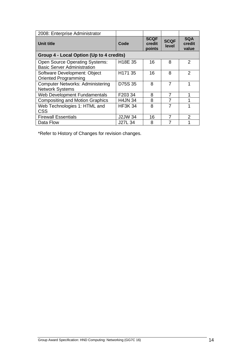| 2008: Enterprise Administrator                                              |                      |                                 |                      |                               |
|-----------------------------------------------------------------------------|----------------------|---------------------------------|----------------------|-------------------------------|
| Unit title                                                                  | Code                 | <b>SCQF</b><br>credit<br>points | <b>SCQF</b><br>level | <b>SQA</b><br>credit<br>value |
| Group 4 - Local Option (Up to 4 credits)                                    |                      |                                 |                      |                               |
| <b>Open Source Operating Systems:</b><br><b>Basic Server Administration</b> | H <sub>18</sub> E 35 | 16                              | 8                    | 2                             |
| Software Development: Object<br><b>Oriented Programming</b>                 | H171 35              | 16                              | 8                    | $\mathfrak{p}$                |
| <b>Computer Networks: Administering</b><br><b>Network Systems</b>           | D75S 35              | 8                               | 7                    | 1                             |
| <b>Web Development Fundamentals</b>                                         | F203 34              | 8                               | 7                    | 1                             |
| <b>Compositing and Motion Graphics</b>                                      | <b>H4JN 34</b>       | 8                               | 7                    | 1                             |
| Web Technologies 1: HTML and<br><b>CSS</b>                                  | <b>HF3K 34</b>       | 8                               | 7                    | 1                             |
| <b>Firewall Essentials</b>                                                  | <b>J2JW 34</b>       | 16                              | 7                    | $\mathfrak{p}$                |
| Data Flow                                                                   | J27L 34              | 8                               | 7                    | 1                             |

\*Refer to History of Changes for revision changes.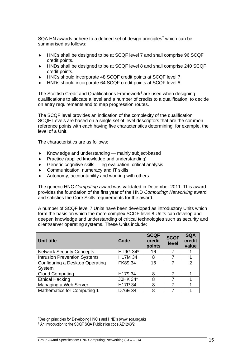SQA HN awards adhere to a defined set of design principles<sup>7</sup> which can be summarised as follows:

- HNCs shall be designed to be at SCQF level 7 and shall comprise 96 SCQF credit points.
- HNDs shall be designed to be at SCQF level 8 and shall comprise 240 SCQF credit points.
- HNCs should incorporate 48 SCQF credit points at SCQF level 7.
- HNDs should incorporate 64 SCQF credit points at SCQF level 8.

The Scottish Credit and Qualifications Framework<sup>8</sup> are used when designing qualifications to allocate a level and a number of credits to a qualification, to decide on entry requirements and to map progression routes.

The SCQF level provides an indication of the complexity of the qualification. SCQF Levels are based on a single set of level descriptors that are the common reference points with each having five characteristics determining, for example, the level of a Unit.

The characteristics are as follows:

- Knowledge and understanding mainly subject-based
- Practice (applied knowledge and understanding)
- $\bullet$  Generic cognitive skills  $-$  eg evaluation, critical analysis
- Communication, numeracy and IT skills
- Autonomy, accountability and working with others

The generic HNC *Computing* award was validated in December 2011. This award provides the foundation of the first year of the HND *Computing: Networking* award and satisfies the Core Skills requirements for the award.

A number of SCQF level 7 Units have been developed as introductory Units which form the basis on which the more complex SCQF level 8 Units can develop and deepen knowledge and understanding of critical technologies such as security and client/server operating systems. These Units include:

| <b>Unit title</b>                         | Code     | <b>SCQF</b><br>credit<br>points | <b>SCQF</b><br>level | <b>SQA</b><br>credit<br>value |
|-------------------------------------------|----------|---------------------------------|----------------------|-------------------------------|
| <b>Network Security Concepts</b>          | HT9G 34* | 16                              | 7                    |                               |
| <b>Intrusion Prevention Systems</b>       | H17M 34  | 8                               |                      |                               |
| Configuring a Desktop Operating<br>System | FK89 34  | 16                              | 7                    | $\mathcal{P}$                 |
| <b>Cloud Computing</b>                    | H179 34  | 8                               | 7                    |                               |
| <b>Ethical Hacking</b>                    | J0HK 34* | 8                               | 7                    |                               |
| Managing a Web Server                     | H17P 34  | 8                               | 7                    |                               |
| <b>Mathematics for Computing 1</b>        | D76E 34  | 8                               | 7                    |                               |

<sup>7</sup>Design principles for Developing HNC's and HND's (www.sqa.org.uk)

<sup>8</sup> An Introduction to the SCQF SQA Publication code AE1243/2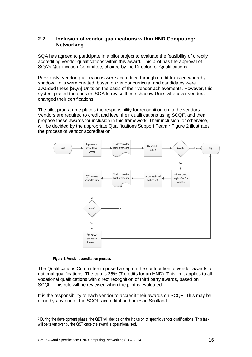#### <span id="page-17-0"></span>**2.2 Inclusion of vendor qualifications within HND Computing: Networking**

SQA has agreed to participate in a pilot project to evaluate the feasibility of directly accrediting vendor qualifications within this award. This pilot has the approval of SQA's Qualification Committee, chaired by the Director for Qualifications.

Previously, vendor qualifications were accredited through credit transfer, whereby shadow Units were created, based on vendor curricula, and candidates were awarded these [SQA] Units on the basis of their vendor achievements. However, this system placed the onus on SQA to revise these shadow Units whenever vendors changed their certifications.

The pilot programme places the responsibility for recognition on to the vendors. Vendors are required to credit and level their qualifications using SCQF, and then propose these awards for inclusion in this framework. Their inclusion, or otherwise, will be decided by the appropriate Qualifications Support Team.<sup>9</sup> Figure 2 illustrates the process of vendor accreditation.



**Figure 1: Vendor accreditation process**

The Qualifications Committee imposed a cap on the contribution of vendor awards to national qualifications. The cap is 25% (7 credits for an HND). This limit applies to all vocational qualifications with direct recognition of third party awards, based on SCQF. This rule will be reviewed when the pilot is evaluated.

It is the responsibility of each vendor to accredit their awards on SCQF. This may be done by any one of the SCQF-accreditation bodies in Scotland.

<sup>9</sup> During the development phase, the QDT will decide on the inclusion of specific vendor qualifications. This task will be taken over by the QST once the award is operationalised.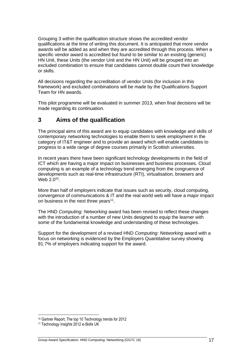Grouping 3 within the qualification structure shows the accredited vendor qualifications at the time of writing this document. It is anticipated that more vendor awards will be added as and when they are accredited through this process. When a specific vendor award is accredited but found to be similar to an existing (generic) HN Unit, these Units (the vendor Unit and the HN Unit) will be grouped into an excluded combination to ensure that candidates cannot double count their knowledge or skills.

All decisions regarding the accreditation of vendor Units (for inclusion in this framework) and excluded combinations will be made by the Qualifications Support Team for HN awards.

This pilot programme will be evaluated in summer 2013, when final decisions will be made regarding its continuation.

# <span id="page-18-0"></span>**3 Aims of the qualification**

The principal aims of this award are to equip candidates with knowledge and skills of contemporary networking technologies to enable them to seek employment in the category of IT&T engineer and to provide an award which will enable candidates to progress to a wide range of degree courses primarily in Scottish universities.

In recent years there have been significant technology developments in the field of ICT which are having a major impact on businesses and business processes. Cloud computing is an example of a technology trend emerging from the congruence of developments such as real-time infrastructure (RTI), virtualisation, browsers and Web  $2.0^{10}$ .

More than half of employers indicate that issues such as security, cloud computing, convergence of communications & IT and the real world web will have a major impact on business in the next three years $11$ .

The HND *Computing: Networking* award has been revised to reflect these changes with the introduction of a number of new Units designed to equip the learner with some of the fundamental knowledge and understanding of these technologies.

Support for the development of a revised HND *Computing: Networking* award with a focus on networking is evidenced by the Employers Quantitative survey showing 91.7% of employers indicating support for the award.

<sup>10</sup> Gartner Report, The top 10 Technology trends for 2012

<sup>11</sup> Technology Insights 2012 e-Skills UK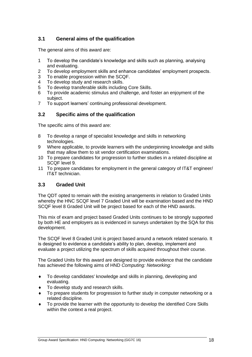## <span id="page-19-0"></span>**3.1 General aims of the qualification**

The general aims of this award are:

- 1 To develop the candidate's knowledge and skills such as planning, analysing and evaluating.
- 2 To develop employment skills and enhance candidates' employment prospects.<br>3 To enable progression within the SCQF.
- To enable progression within the SCQF.
- 4 To develop study and research skills.
- 5 To develop transferable skills including Core Skills.
- 6 To provide academic stimulus and challenge, and foster an enjoyment of the subject.
- 7 To support learners' continuing professional development.

## <span id="page-19-1"></span>**3.2 Specific aims of the qualification**

The specific aims of this award are:

- 8 To develop a range of specialist knowledge and skills in networking technologies.
- 9 Where applicable, to provide learners with the underpinning knowledge and skills that may allow them to sit vendor certification examinations.
- 10 To prepare candidates for progression to further studies in a related discipline at SCQF level 9.
- 11 To prepare candidates for employment in the general category of IT&T engineer/ IT&T technician.

#### <span id="page-19-2"></span>**3.3 Graded Unit**

The QDT opted to remain with the existing arrangements in relation to Graded Units whereby the HNC SCQF level 7 Graded Unit will be examination based and the HND SCQF level 8 Graded Unit will be project based for each of the HND awards.

This mix of exam and project based Graded Units continues to be strongly supported by both HE and employers as is evidenced in surveys undertaken by the SQA for this development.

The SCQF level 8 Graded Unit is project based around a network related scenario. It is designed to evidence a candidate's ability to plan, develop, implement and evaluate a project utilizing the spectrum of skills acquired throughout their course.

The Graded Units for this award are designed to provide evidence that the candidate has achieved the following aims of HND *Computing: Networking:*

- To develop candidates' knowledge and skills in planning, developing and evaluating.
- $\bullet$  To develop study and research skills.
- To prepare students for progression to further study in computer networking or a related discipline.
- To provide the learner with the opportunity to develop the identified Core Skills within the context a real project.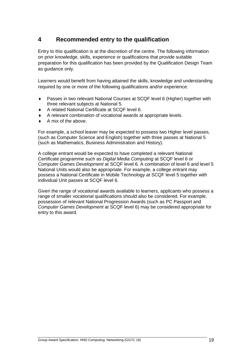# <span id="page-20-0"></span>**4 Recommended entry to the qualification**

Entry to this qualification is at the discretion of the centre. The following information on prior knowledge, skills, experience or qualifications that provide suitable preparation for this qualification has been provided by the Qualification Design Team as guidance only.

Learners would benefit from having attained the skills, knowledge and understanding required by one or more of the following qualifications and/or experience:

- Passes in two relevant National Courses at SCQF level 6 (Higher) together with three relevant subjects at National 5.
- ◆ A related National Certificate at SCQF level 6.
- A relevant combination of vocational awards at appropriate levels.
- $\triangle$  A mix of the above.

For example, a school leaver may be expected to possess two Higher level passes, (such as Computer Science and English) together with three passes at National 5 (such as Mathematics, Business Administration and History).

A college entrant would be expected to have completed a relevant National Certificate programme such as *Digital Media Computing* at SCQF level 6 or *Computer Games Development* at SCQF level 6. A combination of level 6 and level 5 National Units would also be appropriate. For example, a college entrant may possess a National Certificate in Mobile Technology at SCQF level 5 together with individual Unit passes at SCQF level 6.

Given the range of vocational awards available to learners, applicants who possess a range of smaller vocational qualifications should also be considered. For example, possession of relevant National Progression Awards (such as PC Passport and *Computer Games Development* at SCQF level 6) may be considered appropriate for entry to this award.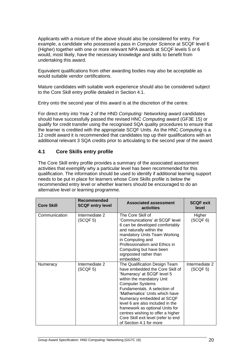Applicants with a mixture of the above should also be considered for entry. For example, a candidate who possessed a pass in *Computer Science* at SCQF level 6 (Higher) together with one or more relevant NPA awards at SCQF levels 5 or 6 would, most likely, have the necessary knowledge and skills to benefit from undertaking this award.

Equivalent qualifications from other awarding bodies may also be acceptable as would suitable vendor certifications.

Mature candidates with suitable work experience should also be considered subject to the Core Skill entry profile detailed in Section 4.1.

Entry onto the second year of this award is at the discretion of the centre.

For direct entry into Year 2 of the HND *Computing: Networking* award candidates should have successfully passed the revised HNC *Computing* award (GF3E 15) or qualify for credit transfer using the recognised SQA quality procedures to ensure that the learner is credited with the appropriate SCQF Units. As the HNC *Computing* is a 12 credit award it is recommended that candidates top up their qualifications with an additional relevant 3 SQA credits prior to articulating to the second year of the award.

## <span id="page-21-0"></span>**4.1 Core Skills entry profile**

The Core Skill entry profile provides a summary of the associated assessment activities that exemplify why a particular level has been recommended for this qualification. The information should be used to identify if additional learning support needs to be put in place for learners whose Core Skills profile is below the recommended entry level or whether learners should be encouraged to do an alternative level or learning programme.

| <b>Core Skill</b> | Recommended<br><b>SCQF entry level</b> | <b>Associated assessment</b><br>activities                                                                                                                                                                                                                                                                                                                                                                                          | <b>SCQF exit</b><br>level  |
|-------------------|----------------------------------------|-------------------------------------------------------------------------------------------------------------------------------------------------------------------------------------------------------------------------------------------------------------------------------------------------------------------------------------------------------------------------------------------------------------------------------------|----------------------------|
| Communication     | Intermediate 2<br>(SCQF <sub>5</sub> ) | The Core Skill of<br>'Communications' at SCQF level<br>6 can be developed comfortably<br>and naturally within the<br>mandatory Units Team Working<br>in Computing and<br>Professionalism and Ethics in<br>Computing but have been<br>signposted rather than<br>embedded.                                                                                                                                                            | Higher<br>(SCQF 6)         |
| Numeracy          | Intermediate 2<br>(SCQF 5)             | The Qualification Design Team<br>have embedded the Core Skill of<br>'Numeracy' at SCQF level 5<br>within the mandatory Unit<br><b>Computer Systems</b><br>Fundamentals. A selection of<br>'Mathematics' Units which have<br>Numeracy embedded at SCQF<br>level 6 are also included in the<br>framework as optional Units for<br>centres wishing to offer a higher<br>Core Skill exit level (refer to end<br>of Section 4.1 for more | Intermediate 2<br>(SCQF 5) |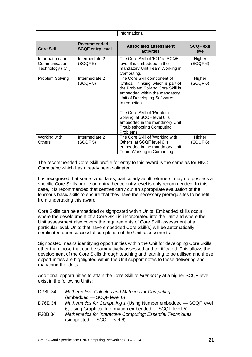|                                                      |                                        | information).                                                                                                                                                                                                                                                                                                                              |                           |
|------------------------------------------------------|----------------------------------------|--------------------------------------------------------------------------------------------------------------------------------------------------------------------------------------------------------------------------------------------------------------------------------------------------------------------------------------------|---------------------------|
| <b>Core Skill</b>                                    | Recommended<br><b>SCQF entry level</b> | <b>Associated assessment</b><br>activities                                                                                                                                                                                                                                                                                                 | <b>SCQF exit</b><br>level |
| Information and<br>Communication<br>Technology (ICT) | Intermediate 2<br>(SCQF 5)             | The Core Skill of 'ICT' at SCQF<br>level 6 is embedded in the<br>mandatory Unit Team Working in<br>Computing.                                                                                                                                                                                                                              | Higher<br>(SCQF 6)        |
| Problem Solving                                      | Intermediate 2<br>(SCQF <sub>5</sub> ) | The Core Skill component of<br>'Critical Thinking' which is part of<br>the Problem Solving Core Skill is<br>embedded within the mandatory<br>Unit of Developing Software:<br>Introduction.<br>The Core Skill of 'Problem<br>Solving' at SCQF level 6 is<br>embedded in the mandatory Unit<br><b>Troubleshooting Computing</b><br>Problems. | Higher<br>(SCQF 6)        |
| Working with<br><b>Others</b>                        | Intermediate 2<br>(SCQF <sub>5</sub> ) | The Core Skill of 'Working with<br>Others' at SCQF level 6 is<br>embedded in the mandatory Unit<br>Team Working in Computing.                                                                                                                                                                                                              | Higher<br>(SCQF 6)        |

The recommended Core Skill profile for entry to this award is the same as for HNC *Computing* which has already been validated.

It is recognised that some candidates, particularly adult returners, may not possess a specific Core Skills profile on entry, hence entry level is only recommended. In this case, it is recommended that centres carry out an appropriate evaluation of the learner's basic skills to ensure that they have the necessary prerequisites to benefit from undertaking this award.

Core Skills can be embedded or signposted within Units. Embedded skills occur where the development of a Core Skill is incorporated into the Unit and where the Unit assessment also covers the requirements of Core Skill assessment at a particular level. Units that have embedded Core Skill(s) will be automatically certificated upon successful completion of the Unit assessments.

Signposted means identifying opportunities within the Unit for developing Core Skills other than those that can be summatively assessed and certificated. This allows the development of the Core Skills through teaching and learning to be utilised and these opportunities are highlighted within the Unit support notes to those delivering and managing the Units.

Additional opportunities to attain the Core Skill of *Numeracy* at a higher SCQF level exist in the following Units:

| <b>DP8F34</b> | <b>Mathematics: Calculus and Matrices for Computing</b>         |
|---------------|-----------------------------------------------------------------|
|               | (embedded - SCQF level 6)                                       |
| D76E 34       | Mathematics for Computing 1 (Using Number embedded - SCQF level |
|               | 6, Using Graphical Information embedded — SCQF level 5)         |
| F20B 34       | Mathematics for Interactive Computing: Essential Techniques     |
|               | (signposted - SCQF level 6)                                     |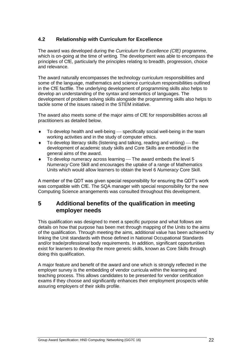## <span id="page-23-0"></span>**4.2 Relationship with Curriculum for Excellence**

The award was developed during the *Curriculum for Excellence (CfE)* programme, which is on-going at the time of writing. The development was able to encompass the principles of CfE, particularly the principles relating to breadth, progression, choice and relevance.

The award naturally encompasses the technology curriculum responsibilities and some of the language, mathematics and science curriculum responsibilities outlined in the CfE factfile. The underlying development of programming skills also helps to develop an understanding of the syntax and semantics of languages. The development of problem solving skills alongside the programming skills also helps to tackle some of the issues raised in the STEM initiative.

The award also meets some of the major aims of CfE for responsibilities across all practitioners as detailed below.

- $\bullet$  To develop health and well-being specifically social well-being in the team working activities and in the study of computer ethics.
- $\bullet$  To develop literacy skills (listening and talking, reading and writing) the development of academic study skills and Core Skills are embodied in the general aims of the award.
- $\bullet$  To develop numeracy across learning  $-$  The award embeds the level 5 *Numeracy* Core Skill and encourages the uptake of a range of Mathematics Units which would allow learners to obtain the level 6 *Numeracy* Core Skill.

A member of the QDT was given special responsibility for ensuring the QDT's work was compatible with CfE. The SQA manager with special responsibility for the new Computing Science arrangements was consulted throughout this development.

## <span id="page-23-1"></span>**5 Additional benefits of the qualification in meeting employer needs**

This qualification was designed to meet a specific purpose and what follows are details on how that purpose has been met through mapping of the Units to the aims of the qualification. Through meeting the aims, additional value has been achieved by linking the Unit standards with those defined in National Occupational Standards and/or trade/professional body requirements. In addition, significant opportunities exist for learners to develop the more generic skills, known as Core Skills through doing this qualification.

A major feature and benefit of the award and one which is strongly reflected in the employer survey is the embedding of vendor curricula within the learning and teaching process. This allows candidates to be presented for vendor certification exams if they choose and significantly enhances their employment prospects while assuring employers of their skills profile.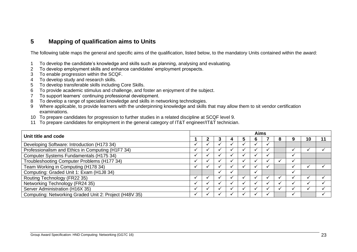# **5 Mapping of qualification aims to Units**

The following table maps the general and specific aims of the qualification, listed below, to the mandatory Units contained within the award:

- 1 To develop the candidate's knowledge and skills such as planning, analysing and evaluating.
- 2 To develop employment skills and enhance candidates' employment prospects.
- 3 To enable progression within the SCQF.
- 4 To develop study and research skills.
- 5 To develop transferable skills including Core Skills.
- 6 To provide academic stimulus and challenge, and foster an enjoyment of the subject.
- 7 To support learners' continuing professional development.
- 8 To develop a range of specialist knowledge and skills in networking technologies.
- 9 Where applicable, to provide learners with the underpinning knowledge and skills that may allow them to sit vendor certification examinations.
- 10 To prepare candidates for progression to further studies in a related discipline at SCQF level 9.
- 11 To prepare candidates for employment in the general category of IT&T engineer/IT&T technician.

<span id="page-24-0"></span>

| Unit title and code                                    |  |  |  | <b>Aims</b> |   |   |    |  |
|--------------------------------------------------------|--|--|--|-------------|---|---|----|--|
|                                                        |  |  |  | 'n          | ō | ч | 10 |  |
| Developing Software: Introduction (H173 34)            |  |  |  |             |   |   |    |  |
| Professionalism and Ethics in Computing (H1F7 34)      |  |  |  |             |   |   |    |  |
| Computer Systems Fundamentals (H175 34)                |  |  |  |             |   |   |    |  |
| Troubleshooting Computer Problems (H177 34)            |  |  |  |             |   |   |    |  |
| Team Working in Computing (H178 34)                    |  |  |  |             |   |   |    |  |
| Computing: Graded Unit 1: Exam (H1J8 34)               |  |  |  |             |   |   |    |  |
| Routing Technology (FR22 35)                           |  |  |  |             |   |   |    |  |
| Networking Technology (FR24 35)                        |  |  |  |             |   |   |    |  |
| Server Administration (H16X 35)                        |  |  |  |             |   |   |    |  |
| Computing: Networking Graded Unit 2: Project (H48V 35) |  |  |  |             |   |   |    |  |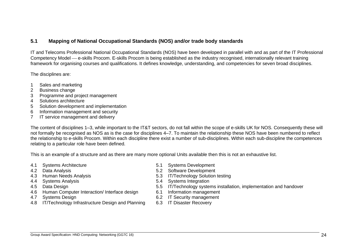#### **5.1 Mapping of National Occupational Standards (NOS) and/or trade body standards**

IT and Telecoms Professional National Occupational Standards (NOS) have been developed in parallel with and as part of the IT Professional Competency Model — e-skills Procom. E-skills Procom is being established as the industry recognised, internationally relevant training framework for organising courses and qualifications. It defines knowledge, understanding, and competencies for seven broad disciplines.

The disciplines are:

- 1 Sales and marketing
- 2 Business change
- 3 Programme and project management
- 4 Solutions architecture
- 5 Solution development and implementation
- 6 Information management and security
- 7 IT service management and delivery

The content of disciplines 1–3, while important to the IT&T sectors, do not fall within the scope of e-skills UK for NOS. Consequently these will not formally be recognised as NOS as is the case for disciplines 4–7. To maintain the relationship these NOS have been numbered to reflect the relationship to e-skills Procom. Within each discipline there exist a number of sub-disciplines. Within each sub-discipline the competences relating to a particular role have been defined.

<span id="page-25-0"></span>This is an example of a structure and as there are many more optional Units available then this is not an exhaustive list.

- 4.1 Systems Architecture 5.1 Systems Development
- 
- 
- 
- 
- 4.6 Human Computer Interaction/ Interface design
- 
- 4.7 Systems Design 6.2 IT Security management 6.8 IT Security management<br>4.8 IT/Technology Infrastructure Design and Planning 6.3 IT Disaster Recovery 4.8 IT/Technology Infrastructure Design and Planning
- 
- 4.2 Data Analysis 5.2 Software Development
- 4.3 Human Needs Analysis 5.3 IT/Technology Solution testing
- 4.4 Systems Analysis 5.4 Systems Integration
- 4.5 Data Design<br>4.6 Human Computer Interaction/ Interface design 6.1 Information management<br>4.6 Human Computer Interaction/ Interface design 6.1 Information management
	-
	-
	-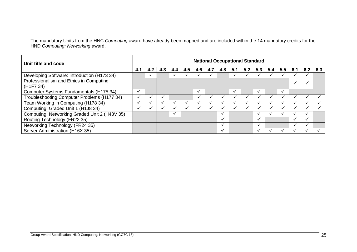The mandatory Units from the HNC *Computing* award have already been mapped and are included within the 14 mandatory credits for the HND *Computing: Networking* award.

| Unit title and code                                              |              | <b>National Occupational Standard</b> |     |     |     |     |     |     |     |     |     |     |               |      |     |     |
|------------------------------------------------------------------|--------------|---------------------------------------|-----|-----|-----|-----|-----|-----|-----|-----|-----|-----|---------------|------|-----|-----|
|                                                                  |              | 4.2                                   | 4.3 | 4.4 | 4.5 | 4.6 | 4.7 | 4.8 | 5.1 | 5.2 | 5.3 | 5.4 | $5.5^{\circ}$ | -6.1 | 6.2 | 6.3 |
| Developing Software: Introduction (H173 34)                      |              |                                       |     |     |     |     |     |     |     |     |     |     |               |      |     |     |
| Professionalism and Ethics in Computing<br>(H <sub>1F7</sub> 34) |              |                                       |     |     |     |     |     |     |     |     |     |     |               |      |     |     |
| Computer Systems Fundamentals (H175 34)                          | ✓            |                                       |     |     |     |     |     |     | ✔   |     |     |     | $\checkmark$  |      |     |     |
| Troubleshooting Computer Problems (H177 34)                      | $\checkmark$ |                                       |     |     |     |     |     |     |     |     |     |     |               |      |     |     |
| Team Working in Computing (H178 34)                              |              |                                       |     |     |     |     |     |     |     |     |     |     |               |      |     |     |
| Computing: Graded Unit 1 (H1J8 34)                               |              |                                       |     |     |     |     |     |     |     |     |     |     |               |      |     |     |
| Computing: Networking Graded Unit 2 (H48V 35)                    |              |                                       |     | ✓   |     |     |     |     |     |     |     |     |               |      |     |     |
| Routing Technology (FR22 35)                                     |              |                                       |     |     |     |     |     |     |     |     |     |     |               |      | ✓   |     |
| Networking Technology (FR24 35)                                  |              |                                       |     |     |     |     |     |     |     |     |     |     |               |      |     |     |
| Server Administration (H16X 35)                                  |              |                                       |     |     |     |     |     |     |     |     |     |     |               |      |     |     |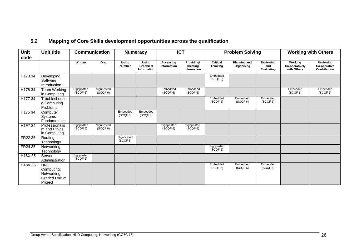<span id="page-27-0"></span>

| Unit<br>code | <b>Unit title</b>                                                    |                        | <b>Communication</b>   | <b>Numeracy</b>        |                                   |                          |                                       | <b>ICT</b>                         |                                   | <b>Problem Solving</b>                |                                          |                                           |  |  | <b>Working with Others</b> |  |
|--------------|----------------------------------------------------------------------|------------------------|------------------------|------------------------|-----------------------------------|--------------------------|---------------------------------------|------------------------------------|-----------------------------------|---------------------------------------|------------------------------------------|-------------------------------------------|--|--|----------------------------|--|
|              |                                                                      | Written                | Oral                   | Using<br>Number        | Using<br>Graphical<br>Information | Accessing<br>Information | Providing/<br>Creating<br>information | <b>Critical</b><br><b>Thinking</b> | <b>Planning and</b><br>Organising | Reviewing<br>and<br><b>Evaluating</b> | Working<br>Co-operatively<br>with Others | Reviewing<br>Co-operative<br>Contribution |  |  |                            |  |
| H17334       | Developing<br>Software:<br>Introduction                              |                        |                        |                        |                                   |                          |                                       | Embedded<br>(SCQF 6)               |                                   |                                       |                                          |                                           |  |  |                            |  |
| H178 34      | <b>Team Working</b><br>in Computing                                  | Signposted<br>(SCQF 6) | Signposted<br>(SCQF 6) |                        |                                   | Embedded<br>(SCQF 6)     | Embedded<br>(SCQF 6)                  |                                    |                                   |                                       | Embedded<br>(SCQF 6)                     | Embedded<br>(SCQF 6)                      |  |  |                            |  |
| H177 34      | Troubleshootin<br>g Computing<br>Problems                            |                        |                        |                        |                                   |                          |                                       | Embedded<br>(SCQF 6)               | Embedded<br>(SCQF 6)              | Embedded<br>(SCQF 6)                  |                                          |                                           |  |  |                            |  |
| H175 34      | Computer<br>Systems<br>Fundamentals                                  |                        |                        | Embedded<br>(SCQF 5)   | Embedded<br>(SCQF <sub>5</sub> )  |                          |                                       |                                    |                                   |                                       |                                          |                                           |  |  |                            |  |
| H1F7 34      | Professionalis<br>m and Ethics<br>in Computing                       | Signposted<br>(SCQF 6) | Signposted<br>(SCQF 6) |                        |                                   | Signposted<br>(SCQF 6)   | Signposted<br>(SCQF 6)                |                                    |                                   |                                       |                                          |                                           |  |  |                            |  |
| FR22 35      | Routing<br>Technology                                                |                        |                        | Signposted<br>(SCQF 6) |                                   |                          |                                       |                                    |                                   |                                       |                                          |                                           |  |  |                            |  |
| FR24 35      | Networking<br>Technology                                             |                        |                        |                        |                                   |                          |                                       | Signposted<br>(SCQF 6)             |                                   |                                       |                                          |                                           |  |  |                            |  |
| H16X 35      | Server<br>Administration                                             | Signposted<br>(SCQF 6) |                        |                        |                                   |                          |                                       |                                    |                                   |                                       |                                          |                                           |  |  |                            |  |
| H48V 35      | <b>HND</b><br>Computing:<br>Networking:<br>Graded Unit 2:<br>Project |                        |                        |                        |                                   |                          |                                       | Embedded<br>(SCQF 6)               | Embedded<br>(SCQF 6)              | Embedded<br>(SCQF 6)                  |                                          |                                           |  |  |                            |  |

# **5.2 Mapping of Core Skills development opportunities across the qualification**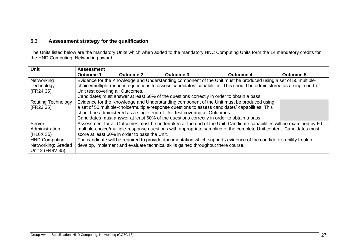## **5.3 Assessment strategy for the qualification**

The Units listed below are the mandatory Units which when added to the mandatory HNC Computing Units form the 14 mandatory credits for the HND Computing: Networking award.

<span id="page-28-0"></span>

| <b>Unit</b>               | <b>Assessment</b>                |                                                                                  |                                                                                                                        |                  |                  |  |  |
|---------------------------|----------------------------------|----------------------------------------------------------------------------------|------------------------------------------------------------------------------------------------------------------------|------------------|------------------|--|--|
|                           | Outcome 1                        | <b>Outcome 2</b>                                                                 | <b>Outcome 3</b>                                                                                                       | <b>Outcome 4</b> | <b>Outcome 5</b> |  |  |
| Networking                |                                  |                                                                                  | Evidence for the Knowledge and Understanding component of the Unit must be produced using a set of 50 multiple-        |                  |                  |  |  |
| Technology                |                                  |                                                                                  | choice/multiple-response questions to assess candidates' capabilities. This should be administered as a single end-of- |                  |                  |  |  |
| (FR24 35)                 | Unit test covering all Outcomes. |                                                                                  |                                                                                                                        |                  |                  |  |  |
|                           |                                  |                                                                                  | Candidates must answer at least 60% of the questions correctly in order to obtain a pass.                              |                  |                  |  |  |
| <b>Routing Technology</b> |                                  |                                                                                  | Evidence for the Knowledge and Understanding component of the Unit must be produced using                              |                  |                  |  |  |
| (FR22 35)                 |                                  |                                                                                  | a set of 50 multiple-choice/multiple-response questions to assess candidates' capabilities. This                       |                  |                  |  |  |
|                           |                                  |                                                                                  | should be administered as a single end-of-Unit test covering all Outcomes.                                             |                  |                  |  |  |
|                           |                                  |                                                                                  | Candidates must answer at least 60% of the questions correctly in order to obtain a pass                               |                  |                  |  |  |
| Server                    |                                  |                                                                                  | Assessment for all Outcomes must be undertaken at the end of the Unit. Candidate capabilities will be examined by 60   |                  |                  |  |  |
| Administration            |                                  |                                                                                  | multiple-choice/multiple-response questions with appropriate sampling of the complete Unit content. Candidates must    |                  |                  |  |  |
| (H <sub>16</sub> X 35)    |                                  | score at least 60% in order to pass the Unit.                                    |                                                                                                                        |                  |                  |  |  |
| <b>HND Computing:</b>     |                                  |                                                                                  | The candidate will be required to provide documentation which supports evidence of the candidate's ability to plan,    |                  |                  |  |  |
| Networking: Graded        |                                  | develop, implement and evaluate technical skills gained throughout there course. |                                                                                                                        |                  |                  |  |  |
| Unit 2 (H48V 35)          |                                  |                                                                                  |                                                                                                                        |                  |                  |  |  |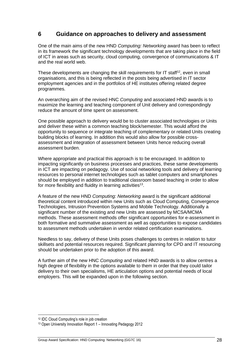# <span id="page-29-0"></span>**6 Guidance on approaches to delivery and assessment**

One of the main aims of the new HND *Computing: Networking* award has been to reflect in its framework the significant technology developments that are taking place in the field of ICT in areas such as security, cloud computing, convergence of communications & IT and the real world web.

These developments are changing the skill requirements for IT staff<sup>12</sup>, even in small organisations, and this is being reflected in the posts being advertised in IT sector employment agencies and in the portfolios of HE institutes offering related degree programmes.

An overarching aim of the revised HNC *Computing* and associated HND awards is to maximize the learning and teaching component of Unit delivery and correspondingly reduce the amount of time spent on assessment.

One possible approach to delivery would be to cluster associated technologies or Units and deliver these within a common teaching block/semester. This would afford the opportunity to sequence or integrate teaching of complementary or related Units creating building blocks of learning. In addition this would also allow for possible crossassessment and integration of assessment between Units hence reducing overall assessment burden.

Where appropriate and practical this approach is to be encouraged. In addition to impacting significantly on business processes and practices, these same developments in ICT are impacting on pedagogy. Use of social networking tools and delivery of learning resources to personal internet technologies such as tablet computers and smartphones should be employed in addition to traditional classroom based teaching in order to allow for more flexibility and fluidity in learning activities<sup>13</sup>.

A feature of the new HND *Computing: Networking* award is the significant additional theoretical content introduced within new Units such as Cloud Computing, Convergence Technologies, Intrusion Prevention Systems and Mobile Technology. Additionally a significant number of the existing and new Units are assessed by MCSA/MCMA methods. These assessment methods offer significant opportunities for e-assessment in both formative and summative assessment as well as opportunities to expose candidates to assessment methods undertaken in vendor related certification examinations.

Needless to say, delivery of these Units poses challenges to centres in relation to tutor skillsets and potential resources required. Significant planning for CPD and IT resourcing should be undertaken prior to the adoption of this award.

A further aim of the new HNC *Computing* and related HND awards is to allow centres a high degree of flexibility in the options available to them in order that they could tailor delivery to their own specialisms, HE articulation options and potential needs of local employers. This will be expanded upon in the following section.

<sup>12</sup> IDC Cloud Computing's role in job creation

<sup>13</sup> Open University Innovation Report 1 – Innovating Pedagogy 2012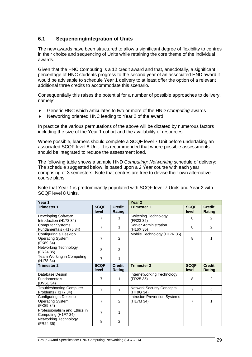## <span id="page-30-0"></span>**6.1 Sequencing/integration of Units**

The new awards have been structured to allow a significant degree of flexibility to centres in their choice and sequencing of Units while retaining the core theme of the individual awards.

Given that the HNC Computing is a 12 credit award and that, anecdotally, a significant percentage of HNC students progress to the second year of an associated HND award it would be advisable to schedule Year 1 delivery to at least offer the option of a relevant additional three credits to accommodate this scenario.

Consequentially this raises the potential for a number of possible approaches to delivery, namely:

- Generic HNC which articulates to two or more of the HND *Computing* awards
- ◆ Networking oriented HNC leading to Year 2 of the award

In practice the various permutations of the above will be dictated by numerous factors including the size of the Year 1 cohort and the availability of resources.

Where possible, learners should complete a SCQF level 7 Unit before undertaking an associated SCQF level 8 Unit. It is recommended that where possible assessments should be integrated to reduce the assessment load.

The following table shows a sample HND *Computing: Networking* schedule of delivery: The schedule suggested below, is based upon a 2 Year course with each year comprising of 3 semesters. Note that centres are free to devise their own alternative course plans:

Note that Year 1 is predominantly populated with SCQF level 7 Units and Year 2 with SCQF level 8 Units.

| Year 1                                                        |                      |                         | Year <sub>2</sub>                                      |                      |                                |
|---------------------------------------------------------------|----------------------|-------------------------|--------------------------------------------------------|----------------------|--------------------------------|
| <b>Trimester 1</b>                                            | <b>SCQF</b><br>level | <b>Credit</b><br>Rating | <b>Trimester 1</b>                                     | <b>SCQF</b><br>level | <b>Credit</b><br>Rating        |
| Developing Software<br>Introduction (H173 34)                 | 7                    | 1                       | Switching Technology<br>(FR23 35)                      | 8                    | 2                              |
| <b>Computer Systems</b><br>Fundamentals (H175 34)             | $\overline{7}$       | 1                       | <b>Server Administration</b><br>(H <sub>16</sub> X 35) | 8                    | $\mathfrak{p}$                 |
| Configuring a Desktop<br><b>Operating System</b><br>(FK89 34) | $\overline{7}$       | 2                       | Mobile Technology (H17R 35)                            | 8                    | 1                              |
| Networking Technology<br>(FR24 35)                            | 8                    | 2                       |                                                        |                      |                                |
| Team Working in Computing<br>(H <sub>178</sub> 34)            | $\overline{7}$       | 1                       |                                                        |                      |                                |
| <b>Trimester 2</b>                                            | <b>SCQF</b><br>level | <b>Credit</b><br>Rating | <b>Trimester 2</b>                                     | <b>SCQF</b><br>level | <b>Credit</b><br><b>Rating</b> |
| Database Design<br><b>Fundamentals</b><br>(DV6E 34)           | $\overline{7}$       | 1                       | Internetworking Technology<br>(FR25 35)                | 8                    | 2                              |
| <b>Troubleshooting Computer</b><br>Problems (H177 34)         | $\overline{7}$       | 1                       | <b>Network Security Concepts</b><br>(HT9G 34)          | $\overline{7}$       | 2                              |
| Configuring a Desktop<br><b>Operating System</b><br>(FK89 34) | 7                    | 2                       | Intrusion Prevention Systems<br>(H <sub>17</sub> M 34) | $\overline{7}$       | 1                              |
| Professionalism and Ethics in                                 | $\overline{7}$       | 1                       |                                                        |                      |                                |
| Computing (H1F7 34)                                           |                      |                         |                                                        |                      |                                |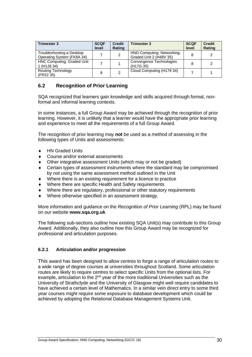| <b>Trimester 3</b>                                                        | <b>SCQF</b><br>level | <b>Credit</b><br><b>Rating</b> | <b>Trimester 3</b>                                    | <b>SCQF</b><br>level | <b>Credit</b><br><b>Rating</b> |
|---------------------------------------------------------------------------|----------------------|--------------------------------|-------------------------------------------------------|----------------------|--------------------------------|
| Troubleshooting a Desktop<br>Operating System (FK8A 34)                   |                      |                                | HND Computing: Networking:<br>Graded Unit 2 (H48V 35) |                      |                                |
| <b>HNC Computing: Graded Unit</b><br>1 (H <sub>1</sub> J <sub>8</sub> 34) |                      |                                | Convergence Technologies<br>(H <sub>17</sub> G 35)    |                      |                                |
| Routing Technology<br>(FR22 35)                                           | 8                    |                                | Cloud Computing (H179 34)                             |                      |                                |

## <span id="page-31-0"></span>**6.2 Recognition of Prior Learning**

SQA recognized that learners gain knowledge and skills acquired through formal, nonformal and informal learning contexts.

In some instances, a full Group Award may be achieved through the recognition of prior learning. However, it is unlikely that a learner would have the appropriate prior learning and experience to meet all the requirements of a full Group Award.

The recognition of prior learning may **not** be used as a method of assessing in the following types of Units and assessments:

- ◆ HN Graded Units
- Course and/or external assessments
- Other integrative assessment Units (which may or not be graded)
- Certain types of assessment instruments where the standard may be compromised by not using the same assessment method outlined in the Unit
- Where there is an existing requirement for a licence to practice
- Where there are specific Health and Safety requirements
- Where there are regulatory, professional or other statutory requirements
- Where otherwise specified in an assessment strategy.

More information and guidance on the *Recognition of Prior Learning* (RPL) may be found on our website **[www.sqa.org.uk](http://www.sqa.org.uk/)**

The following sub-sections outline how existing SQA Unit(s) may contribute to this Group Award. Additionally, they also outline how this Group Award may be recognized for professional and articulation purposes.

#### <span id="page-31-1"></span>**6.2.1 Articulation and/or progression**

This award has been designed to allow centres to forge a range of articulation routes to a wide range of degree courses at universities throughout Scotland. Some articulation routes are likely to require centres to select specific Units from the optional lists. For example, articulation to the  $2<sup>nd</sup>$  year of the more traditional Universities such as the University of Strathclyde and the University of Glasgow might well require candidates to have achieved a certain level of Mathematics. In a similar vein direct entry to some third year courses might require some exposure to database development which could be achieved by adopting the Relational Database Management Systems Unit.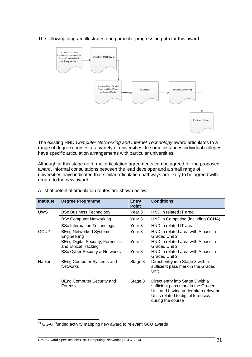

The following diagram illustrates one particular progression path for this award.

The existing HND *Computer Networking and Internet Technology* award articulates to a range of degree courses at a variety of universities. In some instances individual colleges have specific articulation arrangements with particular universities.

Although at this stage no formal articulation agreements can be agreed for the proposed award, informal consultations between the lead developer and a small range of universities have indicated that similar articulation pathways are likely to be agreed with regard to the new award.

| <b>Institute</b>  | Degree Programme                                               | <b>Entry</b><br><b>Point</b> | <b>Conditions</b>                                                                                                                                                        |
|-------------------|----------------------------------------------------------------|------------------------------|--------------------------------------------------------------------------------------------------------------------------------------------------------------------------|
| <b>UWS</b>        | <b>BSc Business Technology</b>                                 | Year 3                       | HND in related IT area                                                                                                                                                   |
|                   | <b>BSc Computer Networking</b>                                 | Year 3                       | HND in Computing (including CCNA)                                                                                                                                        |
|                   | <b>BSc Information Technology</b>                              | Year 3                       | HND in related IT area                                                                                                                                                   |
| GCU <sup>14</sup> | <b>BEng Networked Systems</b><br>Engineering                   | Year <sub>3</sub>            | HND in related area with A pass in<br>Graded Unit 2                                                                                                                      |
|                   | <b>BEng Digital Security, Forensics</b><br>and Ethical Hacking | Year 2                       | HND in related area with A pass in<br>Graded Unit 2                                                                                                                      |
|                   | <b>BSc Cyber Security &amp; Networks</b>                       | Year 3                       | HND in related area with A pass in<br>Graded Unit 2                                                                                                                      |
| Napier            | <b>BEng Computer Systems and</b><br><b>Networks</b>            | Stage 3                      | Direct entry into Stage 3 with a<br>sufficient pass mark in the Graded<br>Unit                                                                                           |
|                   | BEng Computer Security and<br><b>Forensics</b>                 | Stage 3                      | Direct entry into Stage 3 with a<br>sufficient pass mark in the Graded<br>Unit and having undertaken relevant<br>Units related to digital forensics<br>during the course |

A list of potential articulation routes are shown below:

<sup>14</sup> GGAP funded activity mapping new award to relevant GCU awards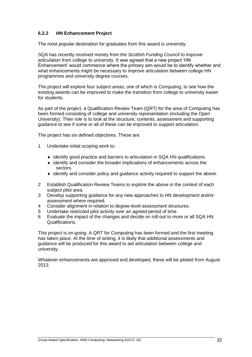#### <span id="page-33-0"></span>**6.2.2 HN Enhancement Project**

The most popular destination for graduates from this award is university.

SQA has recently received money from the *Scottish Funding Council* to improve articulation from college to university. It was agreed that a new project 'HN Enhancement' would commence where the primary aim would be to identify whether and what enhancements might be necessary to improve articulation between college HN programmes and university degree courses.

The project will explore four subject areas, one of which is Computing, to see how the existing awards can be improved to make the transition from college to university easier for students.

As part of the project, a Qualification Review Team (QRT) for the area of Computing has been formed consisting of college and university representation (including the Open University). Their role is to look at the structure, contents, assessment and supporting guidance to see if some or all of these can be improved to support articulation.

The project has six defined objectives. These are:

- 1 Undertake initial scoping work to:
	- ◆ identify good practice and barriers to articulation in SQA HN qualifications.
	- $\bullet$  identify and consider the broader implications of enhancements across the sectors.
	- identify and consider policy and guidance activity required to support the above.
- 2 Establish Qualification Review Teams to explore the above in the context of each subject pilot area.
- 3 Develop supporting guidance for any new approaches to HN development and/or assessment where required.
- 4 Consider alignment in relation to degree-level assessment structures.
- 5 Undertake restricted pilot activity over an agreed period of time.
- 6 Evaluate the impact of the changes and decide on roll-out to more or all SQA HN Qualifications.

This project is on-going. A QRT for Computing has been formed and the first meeting has taken place. At the time of writing, it is likely that additional assessments and guidance will be produced for this award to aid articulation between college and university.

Whatever enhancements are approved and developed, these will be piloted from August 2013.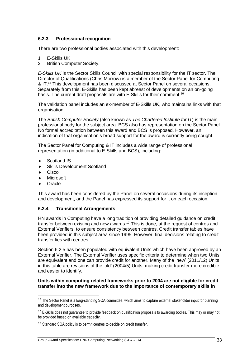#### <span id="page-34-0"></span>**6.2.3 Professional recognition**

There are two professional bodies associated with this development:

- 1 E-Skills UK
- 2 British Computer Society.

*E-Skills UK* is the Sector Skills Council with special responsibility for the IT sector. The Director of Qualifications (Chris Morrow) is a member of the Sector Panel for Computing & IT.<sup>15</sup> This development has been discussed at Sector Panel on several occasions. Separately from this, E-Skills has been kept abreast of developments on an on-going basis. The current draft proposals are with E-Skills for their comment.<sup>16</sup>

The validation panel includes an ex-member of E-Skills UK, who maintains links with that organisation.

The *British Computer Society* (also known as *The Chartered Institute for IT*) is the main professional body for the subject area. BCS also has representation on the Sector Panel. No formal accreditation between this award and BCS is proposed. However, an indication of that organisation's broad support for the award is currently being sought.

The Sector Panel for Computing & IT includes a wide range of professional representation (in additional to E-Skills and BCS), including:

- ◆ Scotland IS
- Skills Development Scotland
- **Cisco**
- Microsoft
- **Oracle**

This award has been considered by the Panel on several occasions during its inception and development, and the Panel has expressed its support for it on each occasion.

#### <span id="page-34-1"></span>**6.2.4 Transitional Arrangements**

HN awards in Computing have a long tradition of providing detailed guidance on credit transfer between existing and new awards.<sup>17</sup> This is done, at the request of centres and External Verifiers, to ensure consistency between centres. Credit transfer tables have been provided in this subject area since 1995. However, final decisions relating to credit transfer lies with centres.

Section 6.2.5 has been populated with equivalent Units which have been approved by an External Verifier. The External Verifier uses specific criteria to determine when two Units are equivalent and one can provide credit for another. Many of the 'new' (2011/12) Units in this table are revisions of the 'old' (2004/5) Units, making credit transfer more credible and easier to identify.

#### **Units within computing related frameworks prior to 2004 are not eligible for credit transfer into the new framework due to the importance of contemporary skills in**

<sup>&</sup>lt;sup>15</sup> The Sector Panel is a long-standing SQA committee, which aims to capture external stakeholder input for planning and development purposes.

<sup>&</sup>lt;sup>16</sup> E-Skills does not guarantee to provide feedback on qualification proposals to awarding bodies. This may or may not be provided based on available capacity.

<sup>&</sup>lt;sup>17</sup> Standard SQA policy is to permit centres to decide on credit transfer.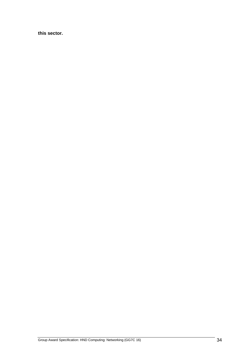**this sector.**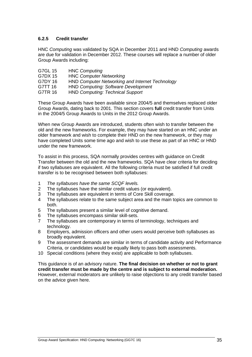#### <span id="page-36-0"></span>**6.2.5 Credit transfer**

HNC *Computing* was validated by SQA in December 2011 and HND *Computing* awards are due for validation in December 2012. These courses will replace a number of older Group Awards including:

| G7GL 15 | <b>HNC Computing</b>                                   |
|---------|--------------------------------------------------------|
| G7DX 15 | <b>HNC Computer Networking</b>                         |
| G7DY 16 | <b>HND Computer Networking and Internet Technology</b> |
| G7TT 16 | <b>HND Computing: Software Development</b>             |
| G7TR 16 | <b>HND Computing: Technical Support</b>                |
|         |                                                        |

These Group Awards have been available since 2004/5 and themselves replaced older Group Awards, dating back to 2001. This section covers **full** credit transfer from Units in the 2004/5 Group Awards to Units in the 2012 Group Awards.

When new Group Awards are introduced, students often wish to transfer between the old and the new frameworks. For example, they may have started on an HNC under an older framework and wish to complete their HND on the new framework, or they may have completed Units some time ago and wish to use these as part of an HNC or HND under the new framework.

To assist in this process, SQA normally provides centres with guidance on Credit Transfer between the old and the new frameworks. SQA have clear criteria for deciding if two syllabuses are equivalent. All the following criteria must be satisfied if full credit transfer is to be recognised between both syllabuses:

- 1 *The syllabuses have the same SCQF levels.*
- The syllabuses have the similar credit values (or equivalent).
- 3 The syllabuses are equivalent in terms of Core Skill coverage.
- 4 The syllabuses relate to the same subject area and the main topics are common to both.
- 5 The syllabuses present a similar level of cognitive demand.
- 6 The syllabuses encompass similar skill-sets.
- 7 The syllabuses are contemporary in terms of terminology, techniques and technology.
- 8 Employers, admission officers and other users would perceive both syllabuses as broadly equivalent.
- 9 The assessment demands are similar in terms of candidate activity and Performance Criteria, or candidates would be equally likely to pass both assessments.
- 10 Special conditions (where they exist) are applicable to both syllabuses.

This guidance is of an advisory nature. **The final decision on whether or not to grant credit transfer must be made by the centre and is subject to external moderation.** However, external moderators are unlikely to raise objections to any credit transfer based on the advice given here.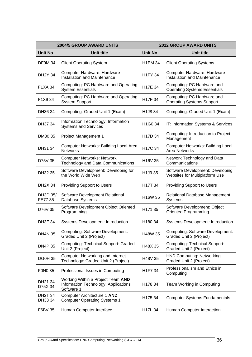|                           | <b>2004/5 GROUP AWARD UNITS</b>                                                         | <b>2012 GROUP AWARD UNITS</b>    |                                                                    |  |  |
|---------------------------|-----------------------------------------------------------------------------------------|----------------------------------|--------------------------------------------------------------------|--|--|
| <b>Unit No</b>            | Unit title                                                                              | <b>Unit No</b>                   | Unit title                                                         |  |  |
| <b>DF9M 34</b>            | <b>Client Operating System</b>                                                          | <b>H1EM 34</b>                   | <b>Client Operating Systems</b>                                    |  |  |
| <b>DH2Y 34</b>            | Computer Hardware: Hardware<br>Installation and Maintenance                             | <b>H1FY 34</b>                   | Computer Hardware: Hardware<br>Installation and Maintenance        |  |  |
| F1XA 34                   | Computing: PC Hardware and Operating<br><b>System Essentials</b>                        | H17E 34                          | Computing: PC Hardware and<br><b>Operating Systems Essentials</b>  |  |  |
| F1X9 34                   | Computing: PC Hardware and Operating<br><b>System Support</b>                           | H17F 34                          | Computing: PC Hardware and<br><b>Operating Systems Support</b>     |  |  |
| DH36 34                   | Computing: Graded Unit 1 (Exam)                                                         | H <sub>1</sub> J <sub>8</sub> 34 | Computing: Graded Unit 1 (Exam)                                    |  |  |
| DH37 34                   | Information Technology: Information<br><b>Systems and Services</b>                      | H <sub>1</sub> G <sub>0</sub> 34 | IT: Information Systems & Services                                 |  |  |
| DM30 35                   | Project Management 1                                                                    | H <sub>17</sub> D <sub>34</sub>  | Computing: Introduction to Project<br>Management                   |  |  |
| DH31 34                   | Computer Networks: Building Local Area<br><b>Networks</b>                               | H17C 34                          | <b>Computer Networks: Building Local</b><br><b>Area Networks</b>   |  |  |
| D75V 35                   | <b>Computer Networks: Network</b><br>Technology and Data Communications                 | H <sub>16</sub> V <sub>35</sub>  | Network Technology and Data<br>Communications                      |  |  |
| DH32 35                   | Software Development: Developing for<br>the World Wide Web                              | H1J9 35                          | Software Development: Developing<br>Websites for Multiplatform Use |  |  |
| <b>DH2X 34</b>            | <b>Providing Support to Users</b>                                                       | H17T 34                          | <b>Providing Support to Users</b>                                  |  |  |
| DH3D 35/<br>FE77 35       | Software Development Relational<br>Database Systems                                     | H <sub>16</sub> W <sub>35</sub>  | Relational Database Management<br>Systems                          |  |  |
| D76V 35                   | Software Development Object Oriented<br>Programming                                     | H171 35                          | Software Development: Object<br><b>Oriented Programming</b>        |  |  |
| <b>DH3F 34</b>            | <b>Systems Development: Introduction</b>                                                | H <sub>180</sub> 34              | Systems Development: Introduction                                  |  |  |
| <b>DN4N 35</b>            | <b>Computing: Software Development:</b><br>Graded Unit 2 (Project)                      | H48W 35                          | Computing: Software Development:<br>Graded Unit 2 (Project)        |  |  |
| <b>DN4P 35</b>            | <b>Computing: Technical Support: Graded</b><br>Unit 2 (Project)                         | H48X 35                          | <b>Computing: Technical Support:</b><br>Graded Unit 2 (Project)    |  |  |
| <b>DG0H 35</b>            | <b>Computer Networking and Internet</b><br>Technology: Graded Unit 2 (Project)          | H48V 35                          | <b>HND Computing: Networking</b><br>Graded Unit 2 (Project)        |  |  |
| F0N0 35                   | Professional Issues in Computing                                                        | H1F7 34                          | Professionalism and Ethics in<br>Computing                         |  |  |
| DH21 34<br>D75X 34        | Working Within a Project Team AND<br>Information Technology: Applications<br>Software 1 | H178 34                          | Team Working in Computing                                          |  |  |
| <b>DH2T 34</b><br>DH33 34 | Computer Architecture 1 AND<br><b>Computer Operating Systems 1</b>                      | H175 34                          | <b>Computer Systems Fundamentals</b>                               |  |  |
| F6BV 35                   | Human Computer Interface                                                                | H17L 34                          | Human Computer Interaction                                         |  |  |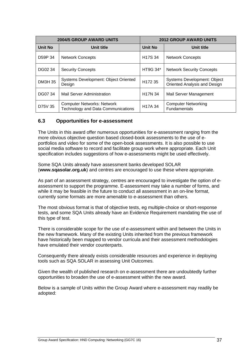|                | <b>2004/5 GROUP AWARD UNITS</b>                                                | <b>2012 GROUP AWARD UNITS</b> |                                                             |  |  |
|----------------|--------------------------------------------------------------------------------|-------------------------------|-------------------------------------------------------------|--|--|
| <b>Unit No</b> | Unit title                                                                     | <b>Unit No</b>                | Unit title                                                  |  |  |
| D59P 34        | <b>Network Concepts</b>                                                        | H <sub>17</sub> S 34          | <b>Network Concepts</b>                                     |  |  |
| DG02 34        | <b>Security Concepts</b>                                                       | <b>HT9G 34*</b>               | <b>Network Security Concepts</b>                            |  |  |
| <b>DM3H 35</b> | <b>Systems Development: Object Oriented</b><br>Design                          | H172 35                       | Systems Development: Object<br>Oriented Analysis and Design |  |  |
| DG07 34        | <b>Mail Server Administration</b>                                              | <b>H17N 34</b>                | Mail Server Management                                      |  |  |
| D75V 35        | <b>Computer Networks: Network</b><br><b>Technology and Data Communications</b> | H <sub>17</sub> A 34          | <b>Computer Networking</b><br><b>Fundamentals</b>           |  |  |

## <span id="page-38-0"></span>**6.3 Opportunities for e-assessment**

The Units in this award offer numerous opportunities for e-assessment ranging from the more obvious objective question based closed-book assessments to the use of eportfolios and video for some of the open-book assessments. It is also possible to use social media software to record and facilitate group work where appropriate. Each Unit specification includes suggestions of how e-assessments might be used effectively.

Some SQA Units already have assessment banks developed SOLAR (**www.sqasolar.org.uk**) and centres are encouraged to use these where appropriate.

As part of an assessment strategy, centres are encouraged to investigate the option of eassessment to support the programme. E-assessment may take a number of forms, and while it may be feasible in the future to conduct all assessment in an on-line format, currently some formats are more amenable to e-assessment than others.

The most obvious format is that of objective tests, eg multiple-choice or short-response tests, and some SQA Units already have an Evidence Requirement mandating the use of this type of test.

There is considerable scope for the use of e-assessment within and between the Units in the new framework. Many of the existing Units inherited from the previous framework have historically been mapped to vendor curricula and their assessment methodologies have emulated their vendor counterparts.

Consequently there already exists considerable resources and experience in deploying tools such as SQA SOLAR in assessing Unit Outcomes.

Given the wealth of published research on e-assessment there are undoubtedly further opportunities to broaden the use of e-assessment within the new award.

Below is a sample of Units within the Group Award where e-assessment may readily be adopted: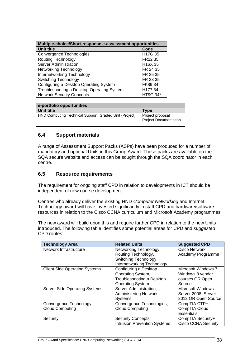| Multiple-choice/Short-response e-assessment opportunities |          |  |  |  |
|-----------------------------------------------------------|----------|--|--|--|
| <b>Unit title</b>                                         | Code     |  |  |  |
| Convergence Technologies                                  | H17G 35  |  |  |  |
| <b>Routing Technology</b>                                 | FR22 35  |  |  |  |
| <b>Server Administration</b>                              | H16X 35  |  |  |  |
| <b>Networking Technology</b>                              | FR 24 35 |  |  |  |
| Internetworking Technology                                | FR 25 35 |  |  |  |
| Switching Technology                                      | FR 23 35 |  |  |  |
| Configuring a Desktop Operating System                    | FK89 34  |  |  |  |
| Troubleshooting a Desktop Operating System                | H177 34  |  |  |  |
| <b>Network Security Concepts</b>                          | HT9G 34* |  |  |  |

| e-portfolio opportunities                              |                                                  |
|--------------------------------------------------------|--------------------------------------------------|
| Unit title                                             | Tvpe                                             |
| HND Computing Technical Support: Graded Unit (Project) | Project proposal<br><b>Project Documentation</b> |

## <span id="page-39-0"></span>**6.4 Support materials**

A range of Assessment Support Packs (ASPs) have been produced for a number of mandatory and optional Units in this Group Award. These packs are available on the SQA secure website and access can be sought through the SQA coordinator in each centre.

#### <span id="page-39-1"></span>**6.5 Resource requirements**

The requirement for ongoing staff CPD in relation to developments in ICT should be independent of new course development.

Centres who already deliver the existing HND *Computer Networking* and Internet Technology award will have invested significantly in staff CPD and hardware/software resources in relation to the Cisco CCNA curriculum and Microsoft Academy programmes.

The new award will build upon this and require further CPD in relation to the new Units introduced. The following table identifies some potential areas for CPD and *suggested* CPD routes:

| <b>Technology Area</b>               | <b>Related Units</b>                | <b>Suggested CPD</b>       |
|--------------------------------------|-------------------------------------|----------------------------|
| Network Infrastructure               | Networking Technology,              | Cisco Network              |
|                                      | Routing Technology,                 | Academy Programme          |
|                                      | Switching Technology,               |                            |
|                                      | Internetworking Technology          |                            |
| <b>Client Side Operating Systems</b> | Configuring a Desktop               | Microsoft Windows 7        |
|                                      | Operating System,                   | Windows 8 vendor           |
|                                      | Troubleshooting a Desktop           | courses OR Open            |
|                                      | <b>Operating System</b>             | Source                     |
| <b>Server Side Operating Systems</b> | Server Administration,              | Microsoft Windows          |
|                                      | <b>Administering Network</b>        | Server 2008, Server        |
|                                      | <b>Systems</b>                      | 2012 OR Open Source        |
| Convergence Technology,              | Convergence Technologies,           | CompTIA CTP+,              |
| <b>Cloud Computing</b>               | <b>Cloud Computing</b>              | CompTIA Cloud              |
|                                      |                                     | <b>Essentials</b>          |
| Security                             | Security Concepts,                  | CompTIA Security+          |
|                                      | <b>Intrusion Prevention Systems</b> | <b>Cisco CCNA Security</b> |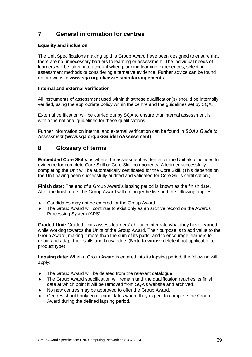# <span id="page-40-0"></span>**7 General information for centres**

#### **Equality and inclusion**

The Unit Specifications making up this Group Award have been designed to ensure that there are no unnecessary barriers to learning or assessment. The individual needs of learners will be taken into account when planning learning experiences, selecting assessment methods or considering alternative evidence. Further advice can be found on our website **[www.sqa.org.uk/assessmentarrangements](http://www.sqa.org.uk/sqa/14977.html)** 

#### **Internal and external verification**

All instruments of assessment used within this/these qualification(s) should be internally verified, using the appropriate policy within the centre and the guidelines set by SQA.

External verification will be carried out by SQA to ensure that internal assessment is within the national guidelines for these qualifications.

Further information on internal and external verification can be found in *SQA's Guide to Assessment* (**[www.sqa.org.uk/GuideToAssessment](http://www.sqa.org.uk/sqa/files_ccc/GuideToAssessment.pdf)**).

# <span id="page-40-1"></span>**8 Glossary of terms**

**Embedded Core Skills:** is where the assessment evidence for the Unit also includes full evidence for complete Core Skill or Core Skill components. A learner successfully completing the Unit will be automatically certificated for the Core Skill. (This depends on the Unit having been successfully audited and validated for Core Skills certification.)

**Finish date:** The end of a Group Award's lapsing period is known as the finish date. After the finish date, the Group Award will no longer be live and the following applies:

- ◆ Candidates may not be entered for the Group Award.
- The Group Award will continue to exist only as an archive record on the Awards Processing System (APS).

**Graded Unit:** Graded Units assess learners' ability to integrate what they have learned while working towards the Units of the Group Award. Their purpose is to add value to the Group Award, making it more than the sum of its parts, and to encourage learners to retain and adapt their skills and knowledge. (**Note to writer:** delete if not applicable to product type)

**Lapsing date:** When a Group Award is entered into its lapsing period, the following will apply:

- The Group Award will be deleted from the relevant catalogue.
- The Group Award specification will remain until the qualification reaches its finish date at which point it will be removed from SQA's website and archived.
- No new centres may be approved to offer the Group Award.
- Centres should only enter candidates whom they expect to complete the Group Award during the defined lapsing period.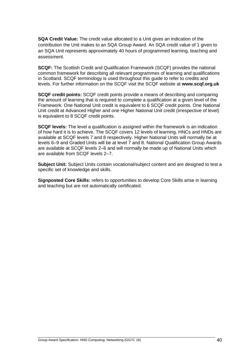**SQA Credit Value:** The credit value allocated to a Unit gives an indication of the contribution the Unit makes to an SQA Group Award. An SQA credit value of 1 given to an SQA Unit represents approximately 40 hours of programmed learning, teaching and assessment.

**SCQF:** The Scottish Credit and Qualification Framework (SCQF) provides the national common framework for describing all relevant programmes of learning and qualifications in Scotland. SCQF terminology is used throughout this guide to refer to credits and levels. For further information on the SCQF visit the SCQF website at **[www.scqf.org.uk](http://www.scqf.org.uk/)**

**SCQF credit points:** SCQF credit points provide a means of describing and comparing the amount of learning that is required to complete a qualification at a given level of the Framework. One National Unit credit is equivalent to 6 SCQF credit points. One National Unit credit at Advanced Higher and one Higher National Unit credit (irrespective of level) is equivalent to 8 SCQF credit points.

**SCQF levels:** The level a qualification is assigned within the framework is an indication of how hard it is to achieve. The SCQF covers 12 levels of learning. HNCs and HNDs are available at SCQF levels 7 and 8 respectively. Higher National Units will normally be at levels 6–9 and Graded Units will be at level 7 and 8. National Qualification Group Awards are available at SCQF levels 2–6 and will normally be made up of National Units which are available from SCQF levels 2–7.

**Subject Unit:** Subject Units contain vocational/subject content and are designed to test a specific set of knowledge and skills.

**Signposted Core Skills:** refers to opportunities to develop Core Skills arise in learning and teaching but are not automatically certificated.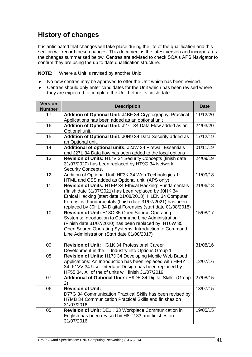# **History of changes**

It is anticipated that changes will take place during the life of the qualification and this section will record these changes. This document is the latest version and incorporates the changes summarised below. Centres are advised to check SQA's APS Navigator to confirm they are using the up to date qualification structure.

**NOTE:** Where a Unit is revised by another Unit:

- No new centres may be approved to offer the Unit which has been revised.
- Centres should only enter candidates for the Unit which has been revised where they are expected to complete the Unit before its finish date.

| <b>Version</b><br><b>Number</b> | <b>Description</b>                                                                                                                                                                                                                                                                                           |                       |
|---------------------------------|--------------------------------------------------------------------------------------------------------------------------------------------------------------------------------------------------------------------------------------------------------------------------------------------------------------|-----------------------|
| 17                              | Addition of Optional Unit: J4BF 34 Cryptography: Practical<br>Applications has been added as an optional unit                                                                                                                                                                                                | 11/12/20              |
| 16                              | Addition of Optional Unit: J27L 34 Data Flow added as an<br>Optional unit.                                                                                                                                                                                                                                   | 24/03/20              |
| 15                              | Addition of Optional Unit: J0H9 34 Data Security added as<br>an Optional unit.                                                                                                                                                                                                                               | 17/12/19              |
| 14                              | Additional of optional units: J2JW 34 Firewall Essentials<br>and J27L 34 Data flow has been added to the local options                                                                                                                                                                                       | 01/11/19              |
| 13                              | Revision of Units: H17V 34 Security Concepts (finish date<br>31/07/2020) has been replaced by HT9G 34 Network<br>Security Concepts.                                                                                                                                                                          | 24/09/19              |
| 12                              | Addition of Optional Unit: HF3K 34 Web Technologies 1:<br>HTML and CSS added as Optional unit. (APS only)                                                                                                                                                                                                    | 11/09/18              |
| 11                              | Revision of Units: H1EP 34 Ethical Hacking: Fundamentals<br>(finish date 31/07/2021) has been replaced by J0HK 34<br>Ethical Hacking (start date 01/08/2018). H1EN 34 Computer<br>Forensics: Fundamentals (finish date 31/07/2021) has been<br>replaced by J0HL 34 Digital Forensics (start date 01/08/2018) | 21/06/18              |
| 10                              | Revision of Unit: H18C 35 Open Source Operating<br>Systems: Introduction to Command Line Administration<br>(Finish date 31/07/2020) has been replaced by HT6W 35<br>Open Source Operating Systems: Introduction to Command<br>Line Administration (Start date 01/08/2017)                                    | 15/08/17              |
| 09                              | Revision of Unit: HG1K 34 Professional Career<br>Development in the IT Industry into Options Group 1                                                                                                                                                                                                         | $31/08/\overline{16}$ |
| 08                              | Revision of Units: H17J 34 Developing Mobile Web Based<br>Applications: An Introduction has been replaced with HF4Y<br>34. F1VV 34 User Interface Design has been replaced by<br>HF55 34. All of the of units will finish 31/07/2019                                                                         | 12/07/16              |
| 07                              | Additional of Optional Units: H9DE 34 Digital Skills (Group<br>2)                                                                                                                                                                                                                                            | 27/08/15              |
| 06                              | <b>Revision of Unit:</b><br>D77G 34 Communication Practical Skills has been revised by<br>H7MB 34 Communication Practical Skills and finishes on<br>31/07/2016.                                                                                                                                              | 13/07/15              |
| 05                              | Revision of Unit: DE1K 33 Workplace Communication in<br>English has been revised by H8T2 33 and finishes on<br>31/07/2016.                                                                                                                                                                                   | 19/05/15              |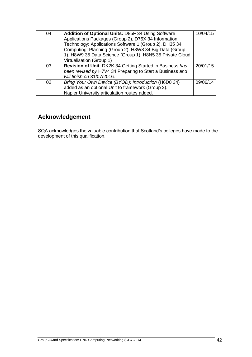| 04 | <b>Addition of Optional Units: D85F 34 Using Software</b><br>Applications Packages (Group 2), D75X 34 Information<br>Technology: Applications Software 1 (Group 2), DH35 34<br>Computing: Planning (Group 2), H8W8 34 Big Data (Group<br>1), H8W9 35 Data Science (Group 1), H8N5 35 Private Cloud<br>Virtualisation (Group 1) | 10/04/15 |
|----|--------------------------------------------------------------------------------------------------------------------------------------------------------------------------------------------------------------------------------------------------------------------------------------------------------------------------------|----------|
| 03 | Revision of Unit: DK2K 34 Getting Started in Business has<br>been revised by H7V4 34 Preparing to Start a Business and<br>will finish on 31/07/2016.                                                                                                                                                                           | 20/01/15 |
| 02 | Bring Your Own Device (BYOD): Introduction (H6D0 34)<br>added as an optional Unit to framework (Group 2).<br>Napier University articulation routes added.                                                                                                                                                                      | 09/06/14 |

# **Acknowledgement**

SQA acknowledges the valuable contribution that Scotland's colleges have made to the development of this qualification.